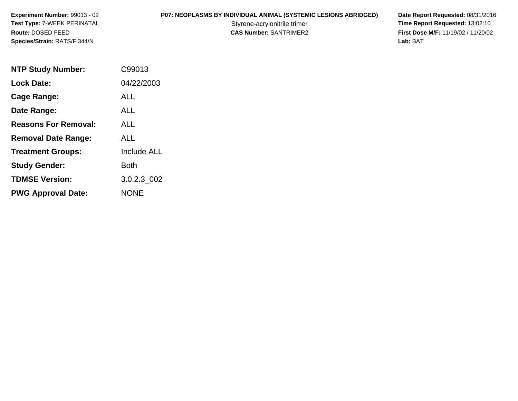**P07: NEOPLASMS BY INDIVIDUAL ANIMAL (SYSTEMIC LESIONS ABRIDGED) Date Report Requested: 08/31/2016<br>Styrene-acrylonitrile trimer <b>Time Report Requested: 13:02:10** Styrene-acrylonitrile trimer<br>
CAS Number: SANTRIMER2<br>
CAS Number: SANTRIMER2<br> **Time Report Requested:** 13:02:10 **First Dose M/F:** 11/19/02 / 11/20/02<br>Lab: BAT **Lab:** BAT

| <b>NTP Study Number:</b>    | C99013      |
|-----------------------------|-------------|
| <b>Lock Date:</b>           | 04/22/2003  |
| Cage Range:                 | ALL         |
| Date Range:                 | ALL         |
| <b>Reasons For Removal:</b> | ALL         |
| <b>Removal Date Range:</b>  | ALL         |
| <b>Treatment Groups:</b>    | Include ALL |
| <b>Study Gender:</b>        | Both        |
| <b>TDMSE Version:</b>       | 3.0.2.3 002 |
| <b>PWG Approval Date:</b>   | <b>NONE</b> |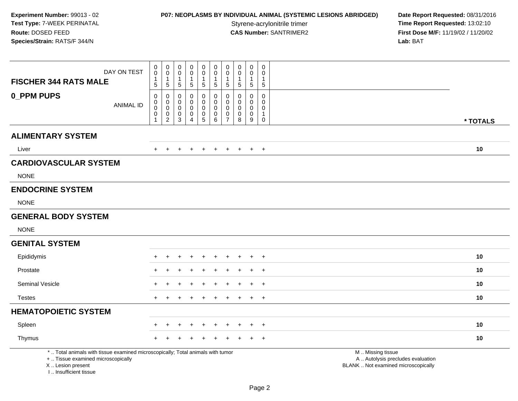**P07: NEOPLASMS BY INDIVIDUAL ANIMAL (SYSTEMIC LESIONS ABRIDGED) Date Report Requested: 08/31/2016<br>Styrene-acrylonitrile trimer <b>Time Report Requested: 13:02:10** Styrene-acrylonitrile trimer<br>
CAS Number: SANTRIMER2<br>
CAS Number: SANTRIMER2<br> **Time Report Requested:** 13:02:10 **First Dose M/F:** 11/19/02 / 11/20/02<br>Lab: BAT **Lab:** BAT

| <b>FISCHER 344 RATS MALE</b>                                                                                                                                        | DAY ON TEST      | 0<br>$\mathbf 0$<br>1<br>5 | $\pmb{0}$<br>$\mathbf 0$<br>$\mathbf{1}$<br>5                   | $\mathbf 0$<br>$\mathsf{O}\xspace$<br>$\mathbf 1$<br>$\sqrt{5}$                     | $\mathbf 0$<br>0<br>-1<br>$\sqrt{5}$       | $\pmb{0}$<br>$\mathbf 0$<br>$\mathbf 1$<br>$\sqrt{5}$                | $\pmb{0}$<br>$\mathbf 0$<br>1<br>$\sqrt{5}$               | $\pmb{0}$<br>$\mathbf 0$<br>$\mathbf{1}$<br>$\sqrt{5}$                                | 0<br>0<br>-1<br>5     | $\pmb{0}$<br>0<br>$\overline{1}$<br>$\sqrt{5}$                   | $\pmb{0}$<br>$\mathbf 0$<br>$\overline{1}$<br>$\sqrt{5}$           |                                                                                               |          |
|---------------------------------------------------------------------------------------------------------------------------------------------------------------------|------------------|----------------------------|-----------------------------------------------------------------|-------------------------------------------------------------------------------------|--------------------------------------------|----------------------------------------------------------------------|-----------------------------------------------------------|---------------------------------------------------------------------------------------|-----------------------|------------------------------------------------------------------|--------------------------------------------------------------------|-----------------------------------------------------------------------------------------------|----------|
| <b>0_PPM PUPS</b>                                                                                                                                                   | <b>ANIMAL ID</b> | 0<br>0<br>$\mathsf 0$<br>0 | $\pmb{0}$<br>$\overline{0}$<br>0<br>$\pmb{0}$<br>$\overline{2}$ | $\pmb{0}$<br>$\boldsymbol{0}$<br>$\mathsf{O}\xspace$<br>$\pmb{0}$<br>$\overline{3}$ | 0<br>0<br>$\pmb{0}$<br>0<br>$\overline{4}$ | $\pmb{0}$<br>$\mathbf 0$<br>$\pmb{0}$<br>$\pmb{0}$<br>$\overline{5}$ | 0<br>$\mathbf 0$<br>$\mathsf{O}\xspace$<br>$\pmb{0}$<br>6 | $\pmb{0}$<br>$\mathsf{O}\xspace$<br>$\boldsymbol{0}$<br>$\mathbf 0$<br>$\overline{7}$ | 0<br>0<br>0<br>0<br>8 | $\pmb{0}$<br>0<br>$\mathbf 0$<br>$\mathbf 0$<br>$\boldsymbol{9}$ | $\mathsf{O}\xspace$<br>0<br>$\pmb{0}$<br>$\mathbf{1}$<br>$\pmb{0}$ |                                                                                               | * TOTALS |
| <b>ALIMENTARY SYSTEM</b>                                                                                                                                            |                  |                            |                                                                 |                                                                                     |                                            |                                                                      |                                                           |                                                                                       |                       |                                                                  |                                                                    |                                                                                               |          |
| Liver                                                                                                                                                               |                  |                            |                                                                 | $\pm$                                                                               | $\pm$                                      | $\pm$                                                                | $+$                                                       | $+$                                                                                   | $+$                   | $+$                                                              | $+$                                                                |                                                                                               | 10       |
| <b>CARDIOVASCULAR SYSTEM</b>                                                                                                                                        |                  |                            |                                                                 |                                                                                     |                                            |                                                                      |                                                           |                                                                                       |                       |                                                                  |                                                                    |                                                                                               |          |
| <b>NONE</b>                                                                                                                                                         |                  |                            |                                                                 |                                                                                     |                                            |                                                                      |                                                           |                                                                                       |                       |                                                                  |                                                                    |                                                                                               |          |
| <b>ENDOCRINE SYSTEM</b>                                                                                                                                             |                  |                            |                                                                 |                                                                                     |                                            |                                                                      |                                                           |                                                                                       |                       |                                                                  |                                                                    |                                                                                               |          |
| <b>NONE</b>                                                                                                                                                         |                  |                            |                                                                 |                                                                                     |                                            |                                                                      |                                                           |                                                                                       |                       |                                                                  |                                                                    |                                                                                               |          |
| <b>GENERAL BODY SYSTEM</b>                                                                                                                                          |                  |                            |                                                                 |                                                                                     |                                            |                                                                      |                                                           |                                                                                       |                       |                                                                  |                                                                    |                                                                                               |          |
| <b>NONE</b>                                                                                                                                                         |                  |                            |                                                                 |                                                                                     |                                            |                                                                      |                                                           |                                                                                       |                       |                                                                  |                                                                    |                                                                                               |          |
| <b>GENITAL SYSTEM</b>                                                                                                                                               |                  |                            |                                                                 |                                                                                     |                                            |                                                                      |                                                           |                                                                                       |                       |                                                                  |                                                                    |                                                                                               |          |
| Epididymis                                                                                                                                                          |                  | $\div$                     | $\pm$                                                           | $\div$                                                                              | $\pm$                                      | $\pm$                                                                | $+$                                                       | $\pm$                                                                                 | $\ddot{}$             | $+$                                                              | $+$                                                                |                                                                                               | 10       |
| Prostate                                                                                                                                                            |                  |                            |                                                                 |                                                                                     |                                            |                                                                      |                                                           |                                                                                       |                       |                                                                  | $\overline{ }$                                                     |                                                                                               | 10       |
| <b>Seminal Vesicle</b>                                                                                                                                              |                  |                            |                                                                 |                                                                                     |                                            |                                                                      |                                                           |                                                                                       |                       |                                                                  | $\overline{+}$                                                     |                                                                                               | 10       |
| <b>Testes</b>                                                                                                                                                       |                  | $+$                        | $\pm$                                                           | $\pm$                                                                               | ÷                                          | $\pm$                                                                | $\ddot{}$                                                 | $\pm$                                                                                 | $\pm$                 | $+$                                                              | $+$                                                                |                                                                                               | 10       |
| <b>HEMATOPOIETIC SYSTEM</b>                                                                                                                                         |                  |                            |                                                                 |                                                                                     |                                            |                                                                      |                                                           |                                                                                       |                       |                                                                  |                                                                    |                                                                                               |          |
| Spleen                                                                                                                                                              |                  |                            |                                                                 |                                                                                     |                                            |                                                                      |                                                           |                                                                                       |                       |                                                                  | $\overline{+}$                                                     |                                                                                               | 10       |
| Thymus                                                                                                                                                              |                  |                            |                                                                 |                                                                                     |                                            |                                                                      |                                                           |                                                                                       |                       |                                                                  | $\overline{ }$                                                     |                                                                                               | 10       |
| *  Total animals with tissue examined microscopically; Total animals with tumor<br>+  Tissue examined microscopically<br>X  Lesion present<br>I Insufficient tissue |                  |                            |                                                                 |                                                                                     |                                            |                                                                      |                                                           |                                                                                       |                       |                                                                  |                                                                    | M  Missing tissue<br>A  Autolysis precludes evaluation<br>BLANK  Not examined microscopically |          |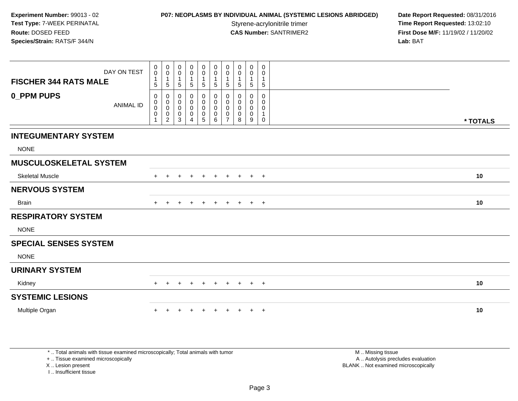## **P07: NEOPLASMS BY INDIVIDUAL ANIMAL (SYSTEMIC LESIONS ABRIDGED) Date Report Requested: 08/31/2016<br>Styrene-acrylonitrile trimer <b>Time Report Requested: 13:02:10**

**Time Report Requested: 13:02:10 CAS Number:** SANTRIMER2 **First Dose M/F:** 11/19/02 / 11/20/02 **Lab:** BAT

| <b>FISCHER 344 RATS MALE</b>  | DAY ON TEST      | 0<br>$\mathbf 0$<br>$\mathbf{1}$ | $\boldsymbol{0}$<br>$\mathsf{O}$<br>$\mathbf{1}$             | 0<br>$\pmb{0}$<br>$\mathbf{1}$ | $\begin{smallmatrix} 0\\0 \end{smallmatrix}$<br>$\mathbf{1}$ | $\pmb{0}$<br>$\ddot{\mathbf{0}}$<br>$\mathbf{1}$       | $\pmb{0}$<br>$\pmb{0}$<br>$\mathbf{1}$                    | 0<br>0<br>$\mathbf{1}$                       | 0<br>0<br>$\mathbf{1}$       | $\pmb{0}$<br>0<br>1                     | $\mathbf 0$<br>0<br>$\mathbf{1}$                    |          |
|-------------------------------|------------------|----------------------------------|--------------------------------------------------------------|--------------------------------|--------------------------------------------------------------|--------------------------------------------------------|-----------------------------------------------------------|----------------------------------------------|------------------------------|-----------------------------------------|-----------------------------------------------------|----------|
|                               |                  | 5                                | $\sqrt{5}$                                                   | $5\,$                          | $\sqrt{5}$                                                   | $\sqrt{5}$                                             | $\sqrt{5}$                                                | 5                                            | 5                            | $\sqrt{5}$                              | $\,$ 5 $\,$                                         |          |
| <b>0_PPM PUPS</b>             | <b>ANIMAL ID</b> | $\mathbf 0$<br>0<br>0<br>0<br>1  | 0<br>$\pmb{0}$<br>$\pmb{0}$<br>$\pmb{0}$<br>$\boldsymbol{2}$ | 0<br>0<br>0<br>$\pmb{0}$<br>3  | 0<br>$\pmb{0}$<br>$\pmb{0}$<br>$\mathsf 0$<br>$\overline{4}$ | 0<br>$\mathbf 0$<br>$\mathbf 0$<br>0<br>$\overline{5}$ | 0<br>$\mathbf 0$<br>$\mathbf 0$<br>$\mathbf 0$<br>$\,6\,$ | 0<br>$\mathbf 0$<br>0<br>0<br>$\overline{7}$ | $\Omega$<br>0<br>0<br>0<br>8 | $\mathbf 0$<br>0<br>0<br>$\pmb{0}$<br>9 | $\mathbf 0$<br>$\mathbf 0$<br>0<br>$\mathbf 1$<br>0 | * TOTALS |
| <b>INTEGUMENTARY SYSTEM</b>   |                  |                                  |                                                              |                                |                                                              |                                                        |                                                           |                                              |                              |                                         |                                                     |          |
| <b>NONE</b>                   |                  |                                  |                                                              |                                |                                                              |                                                        |                                                           |                                              |                              |                                         |                                                     |          |
| <b>MUSCULOSKELETAL SYSTEM</b> |                  |                                  |                                                              |                                |                                                              |                                                        |                                                           |                                              |                              |                                         |                                                     |          |
| <b>Skeletal Muscle</b>        |                  |                                  |                                                              |                                |                                                              |                                                        |                                                           |                                              | $\pm$                        | $\ddot{}$                               | $+$                                                 | 10       |
| <b>NERVOUS SYSTEM</b>         |                  |                                  |                                                              |                                |                                                              |                                                        |                                                           |                                              |                              |                                         |                                                     |          |
| Brain                         |                  |                                  |                                                              |                                |                                                              | $\ddot{}$                                              | $\pm$                                                     | $\ddot{}$                                    | $+$                          |                                         | $+$ $+$                                             | 10       |
| <b>RESPIRATORY SYSTEM</b>     |                  |                                  |                                                              |                                |                                                              |                                                        |                                                           |                                              |                              |                                         |                                                     |          |
| <b>NONE</b>                   |                  |                                  |                                                              |                                |                                                              |                                                        |                                                           |                                              |                              |                                         |                                                     |          |
| <b>SPECIAL SENSES SYSTEM</b>  |                  |                                  |                                                              |                                |                                                              |                                                        |                                                           |                                              |                              |                                         |                                                     |          |
| <b>NONE</b>                   |                  |                                  |                                                              |                                |                                                              |                                                        |                                                           |                                              |                              |                                         |                                                     |          |
| <b>URINARY SYSTEM</b>         |                  |                                  |                                                              |                                |                                                              |                                                        |                                                           |                                              |                              |                                         |                                                     |          |
| Kidney                        |                  |                                  | $\pm$                                                        | $\pm$                          | $\ddot{}$                                                    | $+$                                                    | $\overline{+}$                                            | $+$                                          | $+$                          | $+$                                     | $+$                                                 | 10       |
| <b>SYSTEMIC LESIONS</b>       |                  |                                  |                                                              |                                |                                                              |                                                        |                                                           |                                              |                              |                                         |                                                     |          |
| Multiple Organ                |                  |                                  |                                                              |                                |                                                              |                                                        |                                                           |                                              |                              | $+$                                     | $+$                                                 | 10       |

\* .. Total animals with tissue examined microscopically; Total animals with tumor

+ .. Tissue examined microscopically

X .. Lesion present

I .. Insufficient tissue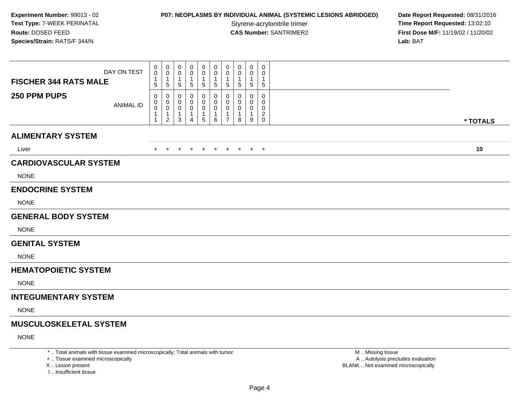#### **P07: NEOPLASMS BY INDIVIDUAL ANIMAL (SYSTEMIC LESIONS ABRIDGED) Date Report Requested: 08/31/2016<br>Styrene-acrylonitrile trimer <b>Time Report Requested: 13:02:10**

**Time Report Requested: 13:02:10 CAS Number:** SANTRIMER2 **First Dose M/F:** 11/19/02 / 11/20/02 **Lab:** BAT

| DAY ON TEST<br><b>FISCHER 344 RATS MALE</b> | 0<br>$\mathbf 0$<br>1<br>5               | 0<br>$\mathbf 0$<br>$\mathbf 1$<br>5         | 0<br>0<br>5                       | 0<br>0<br>-1<br>5                                    | 0<br>0<br>1<br>$\sqrt{5}$              | 0<br>$\mathbf 0$<br>$\overline{1}$<br>$\sqrt{5}$               | 0<br>$\mathbf 0$<br>-1<br>$\sqrt{5}$          | 0<br>$\Omega$<br>1<br>5      | 0<br>0<br>-1<br>5             | 0<br>$\mathbf 0$<br>5                                    |          |
|---------------------------------------------|------------------------------------------|----------------------------------------------|-----------------------------------|------------------------------------------------------|----------------------------------------|----------------------------------------------------------------|-----------------------------------------------|------------------------------|-------------------------------|----------------------------------------------------------|----------|
| 250 PPM PUPS<br><b>ANIMAL ID</b>            | 0<br>0<br>$\pmb{0}$<br>1<br>$\mathbf{1}$ | 0<br>$\mathbf 0$<br>0<br>1<br>$\overline{a}$ | 0<br>0<br>0<br>-1<br>$\mathbf{3}$ | $\Omega$<br>0<br>0<br>$\mathbf{1}$<br>$\overline{4}$ | 0<br>0<br>$\pmb{0}$<br>1<br>$\sqrt{5}$ | $\mathbf{0}$<br>$\mathbf 0$<br>$\mathbf 0$<br>$\mathbf 1$<br>6 | 0<br>$\mathbf 0$<br>0<br>-1<br>$\overline{7}$ | 0<br>$\Omega$<br>0<br>1<br>8 | $\Omega$<br>0<br>0<br>-1<br>9 | 0<br>$\mathbf 0$<br>0<br>$\boldsymbol{2}$<br>$\mathbf 0$ | * TOTALS |
| <b>ALIMENTARY SYSTEM</b>                    |                                          |                                              |                                   |                                                      |                                        |                                                                |                                               |                              |                               |                                                          |          |
| Liver                                       | $+$                                      | $+$                                          | $\pm$                             | $+$                                                  | $+$                                    | $+$                                                            | $+$                                           | $+$                          |                               | $+$ $+$                                                  | 10       |
| <b>CARDIOVASCULAR SYSTEM</b><br><b>NONE</b> |                                          |                                              |                                   |                                                      |                                        |                                                                |                                               |                              |                               |                                                          |          |
| <b>ENDOCRINE SYSTEM</b>                     |                                          |                                              |                                   |                                                      |                                        |                                                                |                                               |                              |                               |                                                          |          |
| <b>NONE</b>                                 |                                          |                                              |                                   |                                                      |                                        |                                                                |                                               |                              |                               |                                                          |          |
| <b>GENERAL BODY SYSTEM</b>                  |                                          |                                              |                                   |                                                      |                                        |                                                                |                                               |                              |                               |                                                          |          |
| <b>NONE</b>                                 |                                          |                                              |                                   |                                                      |                                        |                                                                |                                               |                              |                               |                                                          |          |
| <b>GENITAL SYSTEM</b>                       |                                          |                                              |                                   |                                                      |                                        |                                                                |                                               |                              |                               |                                                          |          |
| <b>NONE</b>                                 |                                          |                                              |                                   |                                                      |                                        |                                                                |                                               |                              |                               |                                                          |          |
| <b>HEMATOPOIETIC SYSTEM</b>                 |                                          |                                              |                                   |                                                      |                                        |                                                                |                                               |                              |                               |                                                          |          |
| <b>NONE</b>                                 |                                          |                                              |                                   |                                                      |                                        |                                                                |                                               |                              |                               |                                                          |          |
| <b>INTEGUMENTARY SYSTEM</b>                 |                                          |                                              |                                   |                                                      |                                        |                                                                |                                               |                              |                               |                                                          |          |
| <b>NONE</b>                                 |                                          |                                              |                                   |                                                      |                                        |                                                                |                                               |                              |                               |                                                          |          |
| <b>MUSCULOSKELETAL SYSTEM</b>               |                                          |                                              |                                   |                                                      |                                        |                                                                |                                               |                              |                               |                                                          |          |
| <b>NONE</b>                                 |                                          |                                              |                                   |                                                      |                                        |                                                                |                                               |                              |                               |                                                          |          |

\* .. Total animals with tissue examined microscopically; Total animals with tumor

+ .. Tissue examined microscopically

X .. Lesion present

I .. Insufficient tissue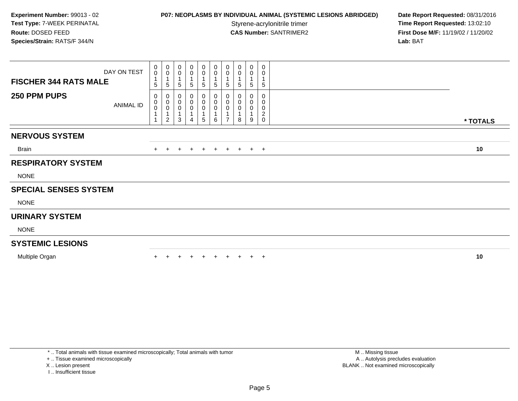**P07: NEOPLASMS BY INDIVIDUAL ANIMAL (SYSTEMIC LESIONS ABRIDGED) Date Report Requested: 08/31/2016<br>Styrene-acrylonitrile trimer <b>Time Report Requested: 13:02:10 Time Report Requested: 13:02:10 CAS Number:** SANTRIMER2 **First Dose M/F:** 11/19/02 / 11/20/02 **Lab:** BAT

| <b>FISCHER 344 RATS MALE</b> | DAY ON TEST | $\begin{smallmatrix}0\0\0\end{smallmatrix}$<br>5 | $_{\rm 0}^{\rm 0}$<br>$\overline{A}$<br>5 | $\mathbf 0$<br>$\pmb{0}$<br>$\overline{1}$<br>5 | 0<br>0<br>$\mathbf{1}$<br>5 | $\mathbf 0$<br>$\mathsf{O}\xspace$<br>5 | $\pmb{0}$<br>$\overline{0}$<br>1<br>5         | 0<br>0<br>5                   | 0<br>0<br>$\mathbf{1}$<br>5 | 0<br>$\pmb{0}$<br>5 | $\mathbf 0$<br>0<br>$\mathbf{1}$<br>$\sqrt{5}$         |          |
|------------------------------|-------------|--------------------------------------------------|-------------------------------------------|-------------------------------------------------|-----------------------------|-----------------------------------------|-----------------------------------------------|-------------------------------|-----------------------------|---------------------|--------------------------------------------------------|----------|
| 250 PPM PUPS                 | ANIMAL ID   | 0<br>0<br>0                                      | 0<br>$\pmb{0}$<br>$\pmb{0}$<br>2          | 0<br>$\pmb{0}$<br>0<br>3                        | 0<br>$\pmb{0}$<br>0<br>4    | 0<br>$\mathsf 0$<br>0<br>5              | $\pmb{0}$<br>$\pmb{0}$<br>$\pmb{0}$<br>1<br>6 | 0<br>0<br>0<br>$\overline{ }$ | 0<br>8                      | 0<br>0<br>0<br>9    | $\mathbf 0$<br>0<br>0<br>$\overline{2}$<br>$\mathbf 0$ |          |
|                              |             |                                                  |                                           |                                                 |                             |                                         |                                               |                               |                             |                     |                                                        | * TOTALS |
| <b>NERVOUS SYSTEM</b>        |             |                                                  |                                           |                                                 |                             |                                         |                                               |                               |                             |                     |                                                        |          |
| Brain                        |             |                                                  | $+$                                       | $+$                                             | $+$                         | $+$                                     | $+$                                           |                               | $+ + + +$                   |                     |                                                        | 10       |
| <b>RESPIRATORY SYSTEM</b>    |             |                                                  |                                           |                                                 |                             |                                         |                                               |                               |                             |                     |                                                        |          |
| <b>NONE</b>                  |             |                                                  |                                           |                                                 |                             |                                         |                                               |                               |                             |                     |                                                        |          |
| <b>SPECIAL SENSES SYSTEM</b> |             |                                                  |                                           |                                                 |                             |                                         |                                               |                               |                             |                     |                                                        |          |
| <b>NONE</b>                  |             |                                                  |                                           |                                                 |                             |                                         |                                               |                               |                             |                     |                                                        |          |
| <b>URINARY SYSTEM</b>        |             |                                                  |                                           |                                                 |                             |                                         |                                               |                               |                             |                     |                                                        |          |
| <b>NONE</b>                  |             |                                                  |                                           |                                                 |                             |                                         |                                               |                               |                             |                     |                                                        |          |
| <b>SYSTEMIC LESIONS</b>      |             |                                                  |                                           |                                                 |                             |                                         |                                               |                               |                             |                     |                                                        |          |
| Multiple Organ               |             |                                                  |                                           |                                                 |                             |                                         |                                               |                               |                             | $\pm$               | $+$                                                    | 10       |
|                              |             |                                                  |                                           |                                                 |                             |                                         |                                               |                               |                             |                     |                                                        |          |

\* .. Total animals with tissue examined microscopically; Total animals with tumor

+ .. Tissue examined microscopically

X .. Lesion present

I .. Insufficient tissue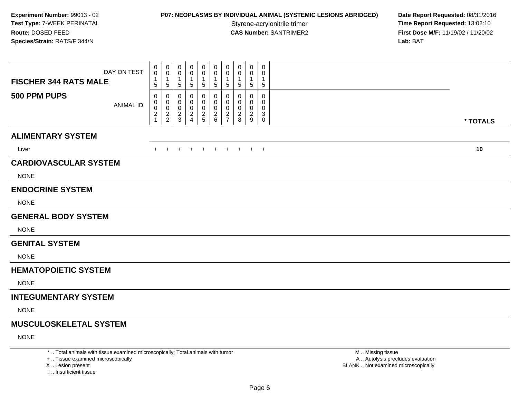#### **P07: NEOPLASMS BY INDIVIDUAL ANIMAL (SYSTEMIC LESIONS ABRIDGED) Date Report Requested: 08/31/2016<br>Styrene-acrylonitrile trimer <b>Time Report Requested: 13:02:10**

**Time Report Requested: 13:02:10 CAS Number:** SANTRIMER2 **First Dose M/F:** 11/19/02 / 11/20/02 **Lab:** BAT

| DAY ON TEST<br><b>FISCHER 344 RATS MALE</b> | 0<br>0<br>$\mathbf{1}$<br>5                         | 0<br>0<br>$\overline{1}$<br>$\sqrt{5}$ | 0<br>0<br>$\mathbf 1$<br>$\sqrt{5}$                   | 0<br>Ω<br>5                                 | 0<br>0<br>$\mathbf{1}$<br>$\sqrt{5}$           | 0<br>$\mathbf 0$<br>-1<br>$\sqrt{5}$                           | 0<br>$\mathbf 0$<br>$\overline{1}$<br>$\sqrt{5}$                    | 0<br>0<br>1<br>5      | 0<br>0<br>$\mathbf{1}$<br>5        | 0<br>0<br>1<br>5                |          |
|---------------------------------------------|-----------------------------------------------------|----------------------------------------|-------------------------------------------------------|---------------------------------------------|------------------------------------------------|----------------------------------------------------------------|---------------------------------------------------------------------|-----------------------|------------------------------------|---------------------------------|----------|
| 500 PPM PUPS<br><b>ANIMAL ID</b>            | 0<br>0<br>$\pmb{0}$<br>$\overline{\mathbf{c}}$<br>1 | 0<br>0<br>$\mathbf 0$<br>$\frac{2}{2}$ | $\mathbf 0$<br>0<br>$\boldsymbol{0}$<br>$\frac{2}{3}$ | 0<br>0<br>0<br>$\overline{\mathbf{c}}$<br>4 | 0<br>$\mathbf 0$<br>$\pmb{0}$<br>$\frac{2}{5}$ | 0<br>0<br>$\mathbf 0$<br>$\begin{array}{c} 2 \\ 6 \end{array}$ | 0<br>$\mathbf 0$<br>$\mathbf 0$<br>$\overline{2}$<br>$\overline{7}$ | 0<br>0<br>0<br>2<br>8 | 0<br>0<br>0<br>$\overline{2}$<br>9 | 0<br>0<br>0<br>3<br>$\mathbf 0$ | * TOTALS |
| <b>ALIMENTARY SYSTEM</b>                    |                                                     |                                        |                                                       |                                             |                                                |                                                                |                                                                     |                       |                                    |                                 |          |
| Liver                                       | $+$                                                 | $+$                                    | $+$                                                   | $+$                                         | $+$                                            | $+$                                                            | $+$                                                                 | $+$                   |                                    | $+$ $+$                         | 10       |
| <b>CARDIOVASCULAR SYSTEM</b>                |                                                     |                                        |                                                       |                                             |                                                |                                                                |                                                                     |                       |                                    |                                 |          |
| <b>NONE</b>                                 |                                                     |                                        |                                                       |                                             |                                                |                                                                |                                                                     |                       |                                    |                                 |          |
| <b>ENDOCRINE SYSTEM</b>                     |                                                     |                                        |                                                       |                                             |                                                |                                                                |                                                                     |                       |                                    |                                 |          |
| <b>NONE</b>                                 |                                                     |                                        |                                                       |                                             |                                                |                                                                |                                                                     |                       |                                    |                                 |          |
| <b>GENERAL BODY SYSTEM</b>                  |                                                     |                                        |                                                       |                                             |                                                |                                                                |                                                                     |                       |                                    |                                 |          |
| <b>NONE</b>                                 |                                                     |                                        |                                                       |                                             |                                                |                                                                |                                                                     |                       |                                    |                                 |          |
| <b>GENITAL SYSTEM</b>                       |                                                     |                                        |                                                       |                                             |                                                |                                                                |                                                                     |                       |                                    |                                 |          |
| <b>NONE</b>                                 |                                                     |                                        |                                                       |                                             |                                                |                                                                |                                                                     |                       |                                    |                                 |          |
| <b>HEMATOPOIETIC SYSTEM</b>                 |                                                     |                                        |                                                       |                                             |                                                |                                                                |                                                                     |                       |                                    |                                 |          |
| <b>NONE</b>                                 |                                                     |                                        |                                                       |                                             |                                                |                                                                |                                                                     |                       |                                    |                                 |          |
| <b>INTEGUMENTARY SYSTEM</b>                 |                                                     |                                        |                                                       |                                             |                                                |                                                                |                                                                     |                       |                                    |                                 |          |
| <b>NONE</b>                                 |                                                     |                                        |                                                       |                                             |                                                |                                                                |                                                                     |                       |                                    |                                 |          |
| <b>MUSCULOSKELETAL SYSTEM</b>               |                                                     |                                        |                                                       |                                             |                                                |                                                                |                                                                     |                       |                                    |                                 |          |
| <b>NONE</b>                                 |                                                     |                                        |                                                       |                                             |                                                |                                                                |                                                                     |                       |                                    |                                 |          |

\* .. Total animals with tissue examined microscopically; Total animals with tumor

+ .. Tissue examined microscopically

X .. Lesion present

I .. Insufficient tissue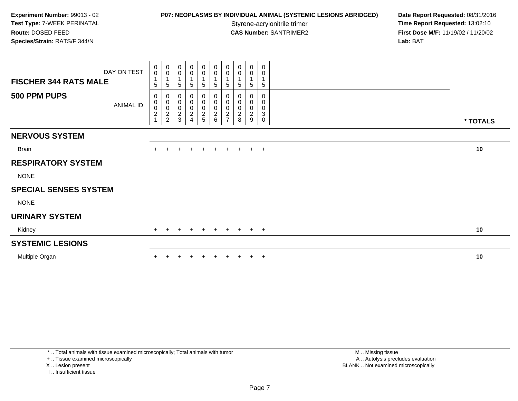## **P07: NEOPLASMS BY INDIVIDUAL ANIMAL (SYSTEMIC LESIONS ABRIDGED) Date Report Requested: 08/31/2016<br>Styrene-acrylonitrile trimer <b>Time Report Requested: 13:02:10**

**Time Report Requested: 13:02:10 CAS Number:** SANTRIMER2 **First Dose M/F:** 11/19/02 / 11/20/02 **Lab:** BAT

| DAY ON TEST<br><b>FISCHER 344 RATS MALE</b> | $_{\rm 0}^{\rm 0}$<br>$\mathbf{1}$<br>5 | $\pmb{0}$<br>$\mathbf 0$<br>$\sqrt{5}$ | $\begin{smallmatrix} 0\\0 \end{smallmatrix}$<br>$\overline{\mathbf{1}}$<br>$\overline{5}$ | $\boldsymbol{0}$<br>$\mathbf 0$<br>$\overline{1}$<br>5           | $\begin{smallmatrix} 0\\0 \end{smallmatrix}$<br>1<br>5 | $\pmb{0}$<br>$\pmb{0}$<br>1<br>5                         | $_{\rm 0}^{\rm 0}$<br>5                      | $_{\rm 0}^{\rm 0}$<br>5 | $\pmb{0}$<br>$\pmb{0}$<br>5                                   | 0<br>0<br>$5\phantom{.0}$ |          |  |
|---------------------------------------------|-----------------------------------------|----------------------------------------|-------------------------------------------------------------------------------------------|------------------------------------------------------------------|--------------------------------------------------------|----------------------------------------------------------|----------------------------------------------|-------------------------|---------------------------------------------------------------|---------------------------|----------|--|
| 500 PPM PUPS<br><b>ANIMAL ID</b>            | 0<br>0002                               | 0<br>0002                              | 0<br>$\begin{array}{c} 0 \\ 0 \\ 2 \\ 3 \end{array}$                                      | $\begin{matrix} 0 \\ 0 \\ 0 \\ 2 \end{matrix}$<br>$\overline{A}$ | 0<br>0<br>0<br>2<br>5                                  | 0<br>$\pmb{0}$<br>$\pmb{0}$<br>$\boldsymbol{2}$<br>$\,6$ | 0<br>$\pmb{0}$<br>$\pmb{0}$<br>$\frac{2}{7}$ | 0<br>0<br>$\frac{2}{8}$ | 0<br>$\pmb{0}$<br>$\pmb{0}$<br>$\sqrt{2}$<br>$\boldsymbol{9}$ | 0<br>0<br>0<br>3<br>0     | * TOTALS |  |
| <b>NERVOUS SYSTEM</b>                       |                                         |                                        |                                                                                           |                                                                  |                                                        |                                                          |                                              |                         |                                                               |                           |          |  |
| Brain                                       | $+$                                     | $\pm$                                  | $+$                                                                                       | $+$                                                              | $+$                                                    | $+$                                                      | $+$                                          | $+$                     | $+$ $+$                                                       |                           | 10       |  |
| <b>RESPIRATORY SYSTEM</b>                   |                                         |                                        |                                                                                           |                                                                  |                                                        |                                                          |                                              |                         |                                                               |                           |          |  |
| <b>NONE</b>                                 |                                         |                                        |                                                                                           |                                                                  |                                                        |                                                          |                                              |                         |                                                               |                           |          |  |
| <b>SPECIAL SENSES SYSTEM</b>                |                                         |                                        |                                                                                           |                                                                  |                                                        |                                                          |                                              |                         |                                                               |                           |          |  |
| <b>NONE</b>                                 |                                         |                                        |                                                                                           |                                                                  |                                                        |                                                          |                                              |                         |                                                               |                           |          |  |
| <b>URINARY SYSTEM</b>                       |                                         |                                        |                                                                                           |                                                                  |                                                        |                                                          |                                              |                         |                                                               |                           |          |  |
| Kidney                                      | $+$                                     | $+$                                    | $+$                                                                                       | $+$                                                              | $+$                                                    | $+$                                                      |                                              | $+$ $+$ $+$ $+$         |                                                               |                           | 10       |  |
| <b>SYSTEMIC LESIONS</b>                     |                                         |                                        |                                                                                           |                                                                  |                                                        |                                                          |                                              |                         |                                                               |                           |          |  |
| Multiple Organ                              |                                         |                                        |                                                                                           |                                                                  |                                                        |                                                          |                                              |                         | $\pm$                                                         | $+$                       | 10       |  |

\* .. Total animals with tissue examined microscopically; Total animals with tumor

+ .. Tissue examined microscopically

X .. Lesion present

I .. Insufficient tissue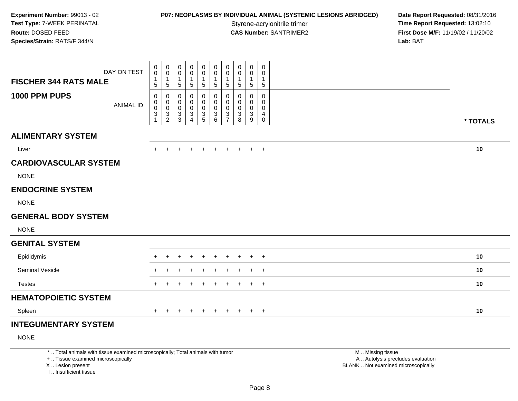## **P07: NEOPLASMS BY INDIVIDUAL ANIMAL (SYSTEMIC LESIONS ABRIDGED) Date Report Requested: 08/31/2016<br>Styrene-acrylonitrile trimer <b>Time Report Requested: 13:02:10**

**Time Report Requested: 13:02:10 CAS Number:** SANTRIMER2 **First Dose M/F:** 11/19/02 / 11/20/02 **Lab:** BAT

| DAY ON TEST                       | 0<br>0                                        | $\pmb{0}$<br>0                                 | 0<br>0                                  | 0<br>0                                                     | $\mathbf 0$<br>$\pmb{0}$                     | 0<br>0                                                      | $\pmb{0}$<br>$\mathbf 0$                                                     | 0<br>0                       | $\mathbf 0$<br>0               | $\pmb{0}$<br>0                |          |
|-----------------------------------|-----------------------------------------------|------------------------------------------------|-----------------------------------------|------------------------------------------------------------|----------------------------------------------|-------------------------------------------------------------|------------------------------------------------------------------------------|------------------------------|--------------------------------|-------------------------------|----------|
| <b>FISCHER 344 RATS MALE</b>      | 1<br>5                                        | $\mathbf{1}$<br>$\sqrt{5}$                     | $\mathbf{1}$<br>5                       | 1<br>5                                                     | $\mathbf{1}$<br>5                            | $\mathbf{1}$<br>5                                           | $\mathbf{1}$<br>$\sqrt{5}$                                                   | 5                            | $\mathbf 1$<br>5               | $\mathbf 1$<br>5              |          |
| 1000 PPM PUPS<br><b>ANIMAL ID</b> | 0<br>0<br>$\overline{0}$<br>3<br>$\mathbf{1}$ | 0<br>$\pmb{0}$<br>$\mathbf 0$<br>$\frac{3}{2}$ | 0<br>$\mathbf 0$<br>$\pmb{0}$<br>3<br>3 | 0<br>0<br>0<br>$\ensuremath{\mathsf{3}}$<br>$\overline{4}$ | 0<br>$\pmb{0}$<br>$\pmb{0}$<br>$\frac{3}{5}$ | 0<br>0<br>$\pmb{0}$<br>$\ensuremath{\mathsf{3}}$<br>$\,6\,$ | 0<br>$\mathbf 0$<br>$\pmb{0}$<br>$\ensuremath{\mathsf{3}}$<br>$\overline{7}$ | 0<br>$\Omega$<br>0<br>3<br>8 | 0<br>0<br>0<br>$\sqrt{3}$<br>9 | 0<br>0<br>0<br>4<br>$\pmb{0}$ | * TOTALS |
| <b>ALIMENTARY SYSTEM</b>          |                                               |                                                |                                         |                                                            |                                              |                                                             |                                                                              |                              |                                |                               |          |
| Liver                             | $+$                                           | $+$                                            | $+$                                     | $+$                                                        | $+$                                          | $+$                                                         | $+$                                                                          | $+$                          |                                | $+$ $+$                       | 10       |
| <b>CARDIOVASCULAR SYSTEM</b>      |                                               |                                                |                                         |                                                            |                                              |                                                             |                                                                              |                              |                                |                               |          |
| <b>NONE</b>                       |                                               |                                                |                                         |                                                            |                                              |                                                             |                                                                              |                              |                                |                               |          |
| <b>ENDOCRINE SYSTEM</b>           |                                               |                                                |                                         |                                                            |                                              |                                                             |                                                                              |                              |                                |                               |          |
| <b>NONE</b>                       |                                               |                                                |                                         |                                                            |                                              |                                                             |                                                                              |                              |                                |                               |          |
| <b>GENERAL BODY SYSTEM</b>        |                                               |                                                |                                         |                                                            |                                              |                                                             |                                                                              |                              |                                |                               |          |
| <b>NONE</b>                       |                                               |                                                |                                         |                                                            |                                              |                                                             |                                                                              |                              |                                |                               |          |
| <b>GENITAL SYSTEM</b>             |                                               |                                                |                                         |                                                            |                                              |                                                             |                                                                              |                              |                                |                               |          |
| Epididymis                        | $\pm$                                         |                                                | $\div$                                  | $\div$                                                     | +                                            | $\ddot{}$                                                   | $\pm$                                                                        | $\pm$                        | $+$                            | $+$                           | 10       |
| <b>Seminal Vesicle</b>            | $\pm$                                         |                                                | $\pm$                                   | $\pm$                                                      | $\overline{ }$                               | $\ddot{}$                                                   | $\pm$                                                                        | $\pm$                        | $+$                            | $+$                           | 10       |
| <b>Testes</b>                     | $\pm$                                         |                                                | $\ddot{}$                               | $\pm$                                                      | $\pm$                                        | $+$                                                         | $+$                                                                          | $\ddot{}$                    | $+$                            | $+$                           | 10       |
| <b>HEMATOPOIETIC SYSTEM</b>       |                                               |                                                |                                         |                                                            |                                              |                                                             |                                                                              |                              |                                |                               |          |
| Spleen                            | $+$                                           | $+$                                            | $+$                                     | $+$                                                        | $+$                                          | $+$                                                         | $+$                                                                          | $+$                          |                                | $+$ $+$                       | 10       |
| <b>INTEGUMENTARY SYSTEM</b>       |                                               |                                                |                                         |                                                            |                                              |                                                             |                                                                              |                              |                                |                               |          |

NONE

\* .. Total animals with tissue examined microscopically; Total animals with tumor

+ .. Tissue examined microscopically

X .. Lesion present

I .. Insufficient tissue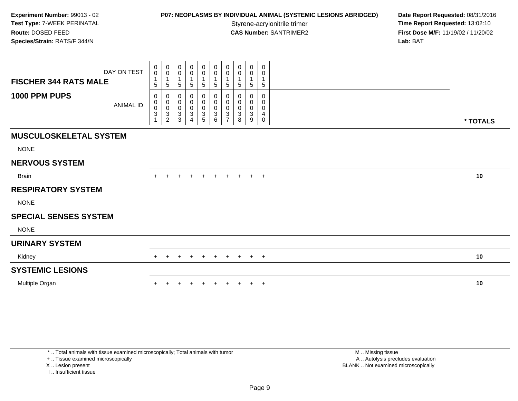#### **P07: NEOPLASMS BY INDIVIDUAL ANIMAL (SYSTEMIC LESIONS ABRIDGED) Date Report Requested: 08/31/2016<br>Styrene-acrylonitrile trimer <b>Time Report Requested: 13:02:10**

**Time Report Requested: 13:02:10 CAS Number:** SANTRIMER2 **First Dose M/F:** 11/19/02 / 11/20/02 **Lab:** BAT

| DAY ON TEST<br><b>FISCHER 344 RATS MALE</b>  | $\begin{smallmatrix} 0\\0 \end{smallmatrix}$<br>$\overline{1}$<br>5 | $\begin{smallmatrix}0\\0\end{smallmatrix}$<br>$\mathbf{1}$<br>$\overline{5}$ | 0<br>0<br>1<br>5                                      | 0<br>0<br>1<br>5                                 | 0<br>$\pmb{0}$<br>1<br>5        | 0<br>$\mathsf{O}$<br>$5\phantom{.0}$          | $\begin{smallmatrix} 0\\0 \end{smallmatrix}$<br>$\overline{1}$<br>$\overline{5}$ | 0<br>0<br>1<br>5                                      | 0<br>$\mathbf 0$<br>$\mathbf{1}$<br>5 | 0<br>0<br>1<br>$5\phantom{.0}$  |          |  |
|----------------------------------------------|---------------------------------------------------------------------|------------------------------------------------------------------------------|-------------------------------------------------------|--------------------------------------------------|---------------------------------|-----------------------------------------------|----------------------------------------------------------------------------------|-------------------------------------------------------|---------------------------------------|---------------------------------|----------|--|
| 1000 PPM PUPS<br><b>ANIMAL ID</b>            | 0<br>$\pmb{0}$<br>$\pmb{0}$<br>$\mathbf 3$                          | 0<br>$\begin{matrix} 0 \\ 0 \\ 3 \\ 2 \end{matrix}$                          | 0<br>0<br>$\pmb{0}$<br>$\ensuremath{\mathsf{3}}$<br>3 | 0<br>$\boldsymbol{0}$<br>$\pmb{0}$<br>$\sqrt{3}$ | 0<br>$\pmb{0}$<br>$\frac{0}{3}$ | 0<br>0<br>0<br>$\ensuremath{\mathsf{3}}$<br>6 | 0<br>$\pmb{0}$<br>$\pmb{0}$<br>$\mathbf{3}$<br>$\overline{ }$                    | 0<br>0<br>$\pmb{0}$<br>$\ensuremath{\mathsf{3}}$<br>8 | 0<br>0<br>$\pmb{0}$<br>3<br>9         | $\mathbf 0$<br>0<br>0<br>4<br>0 | * TOTALS |  |
| <b>MUSCULOSKELETAL SYSTEM</b><br><b>NONE</b> |                                                                     |                                                                              |                                                       |                                                  |                                 |                                               |                                                                                  |                                                       |                                       |                                 |          |  |
| <b>NERVOUS SYSTEM</b>                        |                                                                     |                                                                              |                                                       |                                                  |                                 |                                               |                                                                                  |                                                       |                                       |                                 |          |  |
| <b>Brain</b>                                 | $+$                                                                 | $\pm$                                                                        | $\pm$                                                 | $\pm$                                            | $+$                             | $+$                                           |                                                                                  | $+ + + +$                                             |                                       |                                 | 10       |  |
| <b>RESPIRATORY SYSTEM</b>                    |                                                                     |                                                                              |                                                       |                                                  |                                 |                                               |                                                                                  |                                                       |                                       |                                 |          |  |
| <b>NONE</b>                                  |                                                                     |                                                                              |                                                       |                                                  |                                 |                                               |                                                                                  |                                                       |                                       |                                 |          |  |
| <b>SPECIAL SENSES SYSTEM</b>                 |                                                                     |                                                                              |                                                       |                                                  |                                 |                                               |                                                                                  |                                                       |                                       |                                 |          |  |
| <b>NONE</b>                                  |                                                                     |                                                                              |                                                       |                                                  |                                 |                                               |                                                                                  |                                                       |                                       |                                 |          |  |
| <b>URINARY SYSTEM</b>                        |                                                                     |                                                                              |                                                       |                                                  |                                 |                                               |                                                                                  |                                                       |                                       |                                 |          |  |
| Kidney                                       | ÷.                                                                  | $\pm$                                                                        | $\pm$                                                 | $+$                                              | $+$                             | $+$                                           | $+$                                                                              | $+$                                                   |                                       | $+$ $+$                         | 10       |  |
| <b>SYSTEMIC LESIONS</b>                      |                                                                     |                                                                              |                                                       |                                                  |                                 |                                               |                                                                                  |                                                       |                                       |                                 |          |  |
| Multiple Organ                               |                                                                     |                                                                              |                                                       |                                                  |                                 |                                               |                                                                                  |                                                       |                                       | $+$ $+$                         | 10       |  |

+ .. Tissue examined microscopically

X .. Lesion present

I .. Insufficient tissue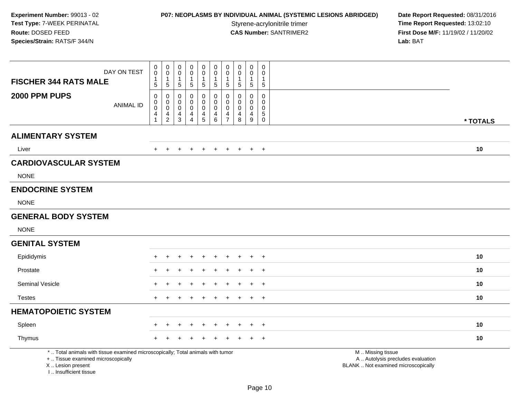**P07: NEOPLASMS BY INDIVIDUAL ANIMAL (SYSTEMIC LESIONS ABRIDGED) Date Report Requested: 08/31/2016<br>Styrene-acrylonitrile trimer <b>Time Report Requested: 13:02:10** Styrene-acrylonitrile trimer<br>
CAS Number: SANTRIMER2<br>
CAS Number: SANTRIMER2<br> **Time Report Requested:** 13:02:10 **First Dose M/F:** 11/19/02 / 11/20/02<br>Lab: BAT **Lab:** BAT

| <b>FISCHER 344 RATS MALE</b>                                                                                                                                        | DAY ON TEST      | 0<br>$\mathsf{O}\xspace$<br>1<br>5                              | $\mathbf 0$<br>$\mathbf 0$<br>$\mathbf{1}$<br>5                             | $\pmb{0}$<br>0<br>$\overline{1}$<br>5                                   | $\mathbf 0$<br>$\mathbf 0$<br>$\mathbf{1}$<br>$\sqrt{5}$            | $\pmb{0}$<br>$\mathbf 0$<br>$\mathbf{1}$<br>$\sqrt{5}$ | $\pmb{0}$<br>$\mathbf 0$<br>$\mathbf{1}$<br>5       | $\pmb{0}$<br>$\mathbf 0$<br>$\mathbf{1}$<br>$\sqrt{5}$              | $\pmb{0}$<br>0<br>$\mathbf 1$<br>$5\phantom{.0}$ | $\pmb{0}$<br>0<br>$\mathbf{1}$<br>$\sqrt{5}$         | $\pmb{0}$<br>$\mathbf 0$<br>-1<br>$\sqrt{5}$                           |                                                                                               |
|---------------------------------------------------------------------------------------------------------------------------------------------------------------------|------------------|-----------------------------------------------------------------|-----------------------------------------------------------------------------|-------------------------------------------------------------------------|---------------------------------------------------------------------|--------------------------------------------------------|-----------------------------------------------------|---------------------------------------------------------------------|--------------------------------------------------|------------------------------------------------------|------------------------------------------------------------------------|-----------------------------------------------------------------------------------------------|
| 2000 PPM PUPS                                                                                                                                                       | <b>ANIMAL ID</b> | 0<br>$\mathbf 0$<br>$\pmb{0}$<br>$\overline{4}$<br>$\mathbf{1}$ | 0<br>$\mathbf 0$<br>$\ddot{\mathbf{0}}$<br>$\overline{4}$<br>$\overline{2}$ | $\mathbf 0$<br>$\mathbf 0$<br>$\pmb{0}$<br>$\overline{4}$<br>$\sqrt{3}$ | $\mathbf 0$<br>0<br>$\mathbf 0$<br>$\overline{4}$<br>$\overline{4}$ | 0<br>$\mathbf 0$<br>$\mathbf 0$<br>4<br>$\overline{5}$ | $\pmb{0}$<br>$\pmb{0}$<br>$\pmb{0}$<br>4<br>$\,6\,$ | 0<br>$\mathbf 0$<br>$\mathbf 0$<br>$\overline{4}$<br>$\overline{7}$ | 0<br>$\mathbf 0$<br>$\pmb{0}$<br>4<br>8          | $\mathbf 0$<br>0<br>$\pmb{0}$<br>$\overline{4}$<br>9 | $\mathsf 0$<br>$\mathbf 0$<br>$\mathsf 0$<br>$\sqrt{5}$<br>$\mathbf 0$ | * TOTALS                                                                                      |
| <b>ALIMENTARY SYSTEM</b>                                                                                                                                            |                  |                                                                 |                                                                             |                                                                         |                                                                     |                                                        |                                                     |                                                                     |                                                  |                                                      |                                                                        |                                                                                               |
| Liver                                                                                                                                                               |                  |                                                                 |                                                                             | $\ddot{}$                                                               |                                                                     | $\div$                                                 | $\pm$                                               |                                                                     | $\pm$                                            | $+$                                                  | $+$                                                                    | 10                                                                                            |
| <b>CARDIOVASCULAR SYSTEM</b>                                                                                                                                        |                  |                                                                 |                                                                             |                                                                         |                                                                     |                                                        |                                                     |                                                                     |                                                  |                                                      |                                                                        |                                                                                               |
| <b>NONE</b>                                                                                                                                                         |                  |                                                                 |                                                                             |                                                                         |                                                                     |                                                        |                                                     |                                                                     |                                                  |                                                      |                                                                        |                                                                                               |
| <b>ENDOCRINE SYSTEM</b>                                                                                                                                             |                  |                                                                 |                                                                             |                                                                         |                                                                     |                                                        |                                                     |                                                                     |                                                  |                                                      |                                                                        |                                                                                               |
| <b>NONE</b>                                                                                                                                                         |                  |                                                                 |                                                                             |                                                                         |                                                                     |                                                        |                                                     |                                                                     |                                                  |                                                      |                                                                        |                                                                                               |
| <b>GENERAL BODY SYSTEM</b>                                                                                                                                          |                  |                                                                 |                                                                             |                                                                         |                                                                     |                                                        |                                                     |                                                                     |                                                  |                                                      |                                                                        |                                                                                               |
| <b>NONE</b>                                                                                                                                                         |                  |                                                                 |                                                                             |                                                                         |                                                                     |                                                        |                                                     |                                                                     |                                                  |                                                      |                                                                        |                                                                                               |
| <b>GENITAL SYSTEM</b>                                                                                                                                               |                  |                                                                 |                                                                             |                                                                         |                                                                     |                                                        |                                                     |                                                                     |                                                  |                                                      |                                                                        |                                                                                               |
| Epididymis                                                                                                                                                          |                  | $\div$                                                          | $\ddot{}$                                                                   | ٠                                                                       | ÷                                                                   | $\div$                                                 | $\overline{+}$                                      | $\pm$                                                               | $\pm$                                            | $+$                                                  | $+$                                                                    | 10                                                                                            |
| Prostate                                                                                                                                                            |                  |                                                                 |                                                                             |                                                                         |                                                                     |                                                        |                                                     |                                                                     |                                                  |                                                      | $\overline{1}$                                                         | 10                                                                                            |
| <b>Seminal Vesicle</b>                                                                                                                                              |                  |                                                                 |                                                                             |                                                                         |                                                                     |                                                        |                                                     |                                                                     |                                                  |                                                      | $\overline{1}$                                                         | 10                                                                                            |
| <b>Testes</b>                                                                                                                                                       |                  | $\pm$                                                           | $\pm$                                                                       | +                                                                       |                                                                     |                                                        |                                                     |                                                                     |                                                  | $+$                                                  | $+$                                                                    | 10                                                                                            |
| <b>HEMATOPOIETIC SYSTEM</b>                                                                                                                                         |                  |                                                                 |                                                                             |                                                                         |                                                                     |                                                        |                                                     |                                                                     |                                                  |                                                      |                                                                        |                                                                                               |
| Spleen                                                                                                                                                              |                  |                                                                 |                                                                             |                                                                         |                                                                     |                                                        |                                                     |                                                                     |                                                  |                                                      | $\overline{ }$                                                         | 10                                                                                            |
| Thymus                                                                                                                                                              |                  |                                                                 |                                                                             |                                                                         |                                                                     |                                                        |                                                     |                                                                     |                                                  |                                                      | $\pm$                                                                  | 10                                                                                            |
| *  Total animals with tissue examined microscopically; Total animals with tumor<br>+  Tissue examined microscopically<br>X  Lesion present<br>I Insufficient tissue |                  |                                                                 |                                                                             |                                                                         |                                                                     |                                                        |                                                     |                                                                     |                                                  |                                                      |                                                                        | M  Missing tissue<br>A  Autolysis precludes evaluation<br>BLANK  Not examined microscopically |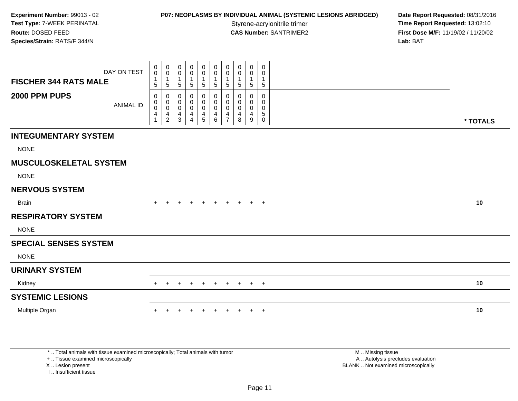## **P07: NEOPLASMS BY INDIVIDUAL ANIMAL (SYSTEMIC LESIONS ABRIDGED) Date Report Requested: 08/31/2016<br>Styrene-acrylonitrile trimer <b>Time Report Requested: 13:02:10**

**Time Report Requested: 13:02:10 CAS Number:** SANTRIMER2 **First Dose M/F:** 11/19/02 / 11/20/02 **Lab:** BAT

| DAY ON TEST<br><b>FISCHER 344 RATS MALE</b> | 0<br>$\mathbf 0$<br>$\mathbf{1}$<br>5                               | $\mathbf 0$<br>$\pmb{0}$<br>$\overline{1}$<br>$\sqrt{5}$ | 0<br>0<br>$\mathbf{1}$<br>$\mathbf 5$                       | 0<br>0<br>1<br>5      | $_0^0$<br>$\mathbf{1}$<br>5  | $\mathbf 0$<br>$\pmb{0}$<br>$\mathbf{1}$<br>$\sqrt{5}$     | 0<br>0<br>$\mathbf 1$<br>$\sqrt{5}$                | $\mathbf 0$<br>$\mathbf 0$<br>$\mathbf{1}$<br>$\,$ 5 $\,$ | $\mathbf 0$<br>0<br>$\mathbf{1}$<br>$\sqrt{5}$        | 0<br>0<br>$\mathbf{1}$<br>5      |          |
|---------------------------------------------|---------------------------------------------------------------------|----------------------------------------------------------|-------------------------------------------------------------|-----------------------|------------------------------|------------------------------------------------------------|----------------------------------------------------|-----------------------------------------------------------|-------------------------------------------------------|----------------------------------|----------|
| 2000 PPM PUPS<br><b>ANIMAL ID</b>           | $\mathbf 0$<br>$\mathbf 0$<br>0<br>$\overline{4}$<br>$\overline{1}$ | 0<br>$\pmb{0}$<br>$\mathbf 0$<br>$\frac{4}{2}$           | $\mathbf 0$<br>0<br>$\boldsymbol{0}$<br>$\overline{4}$<br>3 | 0<br>0<br>0<br>4<br>4 | 0<br>0<br>0<br>$\frac{4}{5}$ | $\pmb{0}$<br>$\pmb{0}$<br>$\pmb{0}$<br>$\overline{4}$<br>6 | 0<br>$\pmb{0}$<br>$\pmb{0}$<br>4<br>$\overline{7}$ | 0<br>0<br>0<br>$\overline{\mathbf{4}}$<br>8               | 0<br>0<br>$\mathbf 0$<br>$\overline{\mathbf{4}}$<br>9 | 0<br>0<br>0<br>5<br>$\mathsf{O}$ | * TOTALS |
| <b>INTEGUMENTARY SYSTEM</b>                 |                                                                     |                                                          |                                                             |                       |                              |                                                            |                                                    |                                                           |                                                       |                                  |          |
| <b>NONE</b>                                 |                                                                     |                                                          |                                                             |                       |                              |                                                            |                                                    |                                                           |                                                       |                                  |          |
| <b>MUSCULOSKELETAL SYSTEM</b>               |                                                                     |                                                          |                                                             |                       |                              |                                                            |                                                    |                                                           |                                                       |                                  |          |
| <b>NONE</b>                                 |                                                                     |                                                          |                                                             |                       |                              |                                                            |                                                    |                                                           |                                                       |                                  |          |
| <b>NERVOUS SYSTEM</b>                       |                                                                     |                                                          |                                                             |                       |                              |                                                            |                                                    |                                                           |                                                       |                                  |          |
| Brain                                       |                                                                     |                                                          |                                                             |                       |                              | ÷.                                                         | $\pm$                                              | $\pm$                                                     | $+$                                                   | $+$                              | 10       |
| <b>RESPIRATORY SYSTEM</b>                   |                                                                     |                                                          |                                                             |                       |                              |                                                            |                                                    |                                                           |                                                       |                                  |          |
| <b>NONE</b>                                 |                                                                     |                                                          |                                                             |                       |                              |                                                            |                                                    |                                                           |                                                       |                                  |          |
| <b>SPECIAL SENSES SYSTEM</b>                |                                                                     |                                                          |                                                             |                       |                              |                                                            |                                                    |                                                           |                                                       |                                  |          |
| <b>NONE</b>                                 |                                                                     |                                                          |                                                             |                       |                              |                                                            |                                                    |                                                           |                                                       |                                  |          |
| <b>URINARY SYSTEM</b>                       |                                                                     |                                                          |                                                             |                       |                              |                                                            |                                                    |                                                           |                                                       |                                  |          |
| Kidney                                      |                                                                     |                                                          |                                                             |                       | $\div$                       | $+$                                                        | $+$                                                | $+$                                                       |                                                       | $+$ $+$                          | 10       |
| <b>SYSTEMIC LESIONS</b>                     |                                                                     |                                                          |                                                             |                       |                              |                                                            |                                                    |                                                           |                                                       |                                  |          |
| Multiple Organ                              |                                                                     |                                                          |                                                             |                       |                              | $\ddot{}$                                                  | $\pm$                                              |                                                           | $\pm$                                                 | $+$                              | 10       |

\* .. Total animals with tissue examined microscopically; Total animals with tumor

+ .. Tissue examined microscopically

X .. Lesion present

I .. Insufficient tissue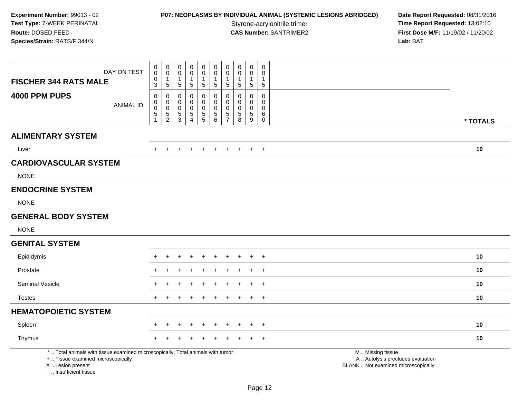# **P07: NEOPLASMS BY INDIVIDUAL ANIMAL (SYSTEMIC LESIONS ABRIDGED) Date Report Requested: 08/31/2016<br>Styrene-acrylonitrile trimer <b>Time Report Requested: 13:02:10**

Styrene-acrylonitrile trimer<br>
CAS Number: SANTRIMER2<br>
CAS Number: SANTRIMER2<br> **Time Report Requested:** 13:02:10 **First Dose M/F:** 11/19/02 / 11/20/02<br>Lab: BAT **Lab:** BAT

| DAY ON TEST<br><b>FISCHER 344 RATS MALE</b>                                                                                                                         | $\pmb{0}$<br>$\mathsf 0$<br>$\pmb{0}$<br>3                             | $\pmb{0}$<br>$\boldsymbol{0}$<br>$\mathbf{1}$<br>$\overline{5}$ | $\pmb{0}$<br>$\mathbf 0$<br>1<br>5           | $\mathbf 0$<br>$\mathbf 0$<br>-1<br>$\sqrt{5}$        | $\pmb{0}$<br>$\pmb{0}$<br>-1<br>5    | $\pmb{0}$<br>$\overline{0}$<br>$\mathbf 1$<br>$\sqrt{5}$                         | $\boldsymbol{0}$<br>$\mathbf 0$<br>-1<br>$\overline{5}$ | $\pmb{0}$<br>$\mathbf 0$<br>$\mathbf{1}$<br>$\,$ 5 $\,$          | $\pmb{0}$<br>$\mathbf 0$<br>$\mathbf{1}$<br>5       | $\mathbf 0$<br>$\mathbf 0$<br>$\sqrt{5}$          |                                                                                               |          |
|---------------------------------------------------------------------------------------------------------------------------------------------------------------------|------------------------------------------------------------------------|-----------------------------------------------------------------|----------------------------------------------|-------------------------------------------------------|--------------------------------------|----------------------------------------------------------------------------------|---------------------------------------------------------|------------------------------------------------------------------|-----------------------------------------------------|---------------------------------------------------|-----------------------------------------------------------------------------------------------|----------|
| 4000 PPM PUPS<br><b>ANIMAL ID</b>                                                                                                                                   | 0<br>$\pmb{0}$<br>$\ddot{\mathbf{0}}$<br>$\,$ 5 $\,$<br>$\overline{1}$ | $\mathbf 0$<br>$\mathbf 0$<br>$\overline{0}$<br>$\frac{5}{2}$   | 0<br>0<br>0<br>$\,$ 5 $\,$<br>$\overline{3}$ | 0<br>$\mathbf 0$<br>0<br>$\sqrt{5}$<br>$\overline{4}$ | 0<br>0<br>$\pmb{0}$<br>$\frac{5}{5}$ | 0<br>$\mathbf 0$<br>$\mathsf{O}\xspace$<br>$\begin{array}{c} 5 \\ 6 \end{array}$ | 0<br>$\mathbf 0$<br>$\pmb{0}$<br>$\frac{5}{7}$          | $\mathbf 0$<br>$\mathbf 0$<br>0<br>$\,$ 5 $\,$<br>$\overline{8}$ | $\mathbf 0$<br>$\mathbf 0$<br>$\mathbf 0$<br>5<br>9 | 0<br>$\mathbf 0$<br>$\mathbf 0$<br>6<br>$\pmb{0}$ |                                                                                               | * TOTALS |
| <b>ALIMENTARY SYSTEM</b>                                                                                                                                            |                                                                        |                                                                 |                                              |                                                       |                                      |                                                                                  |                                                         |                                                                  |                                                     |                                                   |                                                                                               |          |
| Liver                                                                                                                                                               |                                                                        |                                                                 |                                              |                                                       | $\div$                               |                                                                                  |                                                         |                                                                  | $\div$                                              | $+$                                               |                                                                                               | 10       |
| <b>CARDIOVASCULAR SYSTEM</b>                                                                                                                                        |                                                                        |                                                                 |                                              |                                                       |                                      |                                                                                  |                                                         |                                                                  |                                                     |                                                   |                                                                                               |          |
| <b>NONE</b>                                                                                                                                                         |                                                                        |                                                                 |                                              |                                                       |                                      |                                                                                  |                                                         |                                                                  |                                                     |                                                   |                                                                                               |          |
| <b>ENDOCRINE SYSTEM</b>                                                                                                                                             |                                                                        |                                                                 |                                              |                                                       |                                      |                                                                                  |                                                         |                                                                  |                                                     |                                                   |                                                                                               |          |
| <b>NONE</b>                                                                                                                                                         |                                                                        |                                                                 |                                              |                                                       |                                      |                                                                                  |                                                         |                                                                  |                                                     |                                                   |                                                                                               |          |
| <b>GENERAL BODY SYSTEM</b>                                                                                                                                          |                                                                        |                                                                 |                                              |                                                       |                                      |                                                                                  |                                                         |                                                                  |                                                     |                                                   |                                                                                               |          |
| <b>NONE</b>                                                                                                                                                         |                                                                        |                                                                 |                                              |                                                       |                                      |                                                                                  |                                                         |                                                                  |                                                     |                                                   |                                                                                               |          |
| <b>GENITAL SYSTEM</b>                                                                                                                                               |                                                                        |                                                                 |                                              |                                                       |                                      |                                                                                  |                                                         |                                                                  |                                                     |                                                   |                                                                                               |          |
| Epididymis                                                                                                                                                          | $+$                                                                    |                                                                 |                                              |                                                       | $\ddot{}$                            | $\ddot{}$                                                                        |                                                         |                                                                  | ÷                                                   | $+$                                               |                                                                                               | 10       |
| Prostate                                                                                                                                                            |                                                                        |                                                                 |                                              |                                                       |                                      |                                                                                  |                                                         |                                                                  |                                                     | $\overline{ }$                                    |                                                                                               | 10       |
| <b>Seminal Vesicle</b>                                                                                                                                              |                                                                        |                                                                 |                                              |                                                       |                                      |                                                                                  |                                                         |                                                                  |                                                     | $\ddot{}$                                         |                                                                                               | 10       |
| <b>Testes</b>                                                                                                                                                       | $+$                                                                    | $\pm$                                                           | $\ddot{}$                                    | ÷                                                     | $\pm$                                | $\pm$                                                                            | $\pm$                                                   | $+$                                                              | $+$                                                 | $+$                                               |                                                                                               | 10       |
| <b>HEMATOPOIETIC SYSTEM</b>                                                                                                                                         |                                                                        |                                                                 |                                              |                                                       |                                      |                                                                                  |                                                         |                                                                  |                                                     |                                                   |                                                                                               |          |
| Spleen                                                                                                                                                              |                                                                        |                                                                 |                                              |                                                       |                                      |                                                                                  |                                                         |                                                                  |                                                     | $\ddot{}$                                         |                                                                                               | 10       |
| Thymus                                                                                                                                                              |                                                                        |                                                                 |                                              |                                                       |                                      |                                                                                  |                                                         |                                                                  |                                                     | $\ddot{}$                                         |                                                                                               | 10       |
| *  Total animals with tissue examined microscopically; Total animals with tumor<br>+  Tissue examined microscopically<br>X  Lesion present<br>I Insufficient tissue |                                                                        |                                                                 |                                              |                                                       |                                      |                                                                                  |                                                         |                                                                  |                                                     |                                                   | M  Missing tissue<br>A  Autolysis precludes evaluation<br>BLANK  Not examined microscopically |          |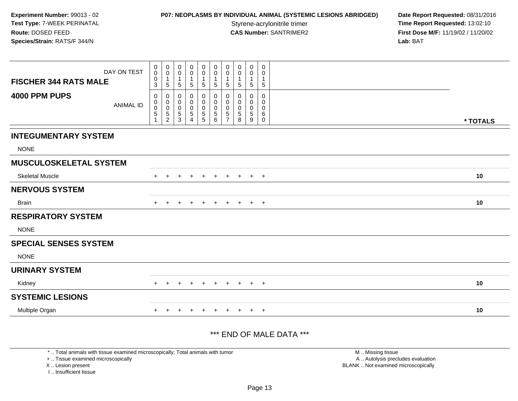#### **P07: NEOPLASMS BY INDIVIDUAL ANIMAL (SYSTEMIC LESIONS ABRIDGED) Date Report Requested: 08/31/2016<br>Styrene-acrylonitrile trimer <b>Time Report Requested: 13:02:10**

**Time Report Requested: 13:02:10 CAS Number:** SANTRIMER2 **First Dose M/F:** 11/19/02 / 11/20/02 **Lab:** BAT

| DAY ON TEST                       | $\boldsymbol{0}$<br>$\mathbf 0$ | $\mathbf 0$<br>$\pmb{0}$                                     | 0<br>0                          | 0<br>$\mathbf 0$                                   | $\mathbf 0$<br>$\pmb{0}$                     | $\mathbf 0$<br>$\pmb{0}$                          | 0<br>$\pmb{0}$                     | 0<br>0                          | $\mathbf 0$<br>$\pmb{0}$                         | 0<br>0                                              |          |
|-----------------------------------|---------------------------------|--------------------------------------------------------------|---------------------------------|----------------------------------------------------|----------------------------------------------|---------------------------------------------------|------------------------------------|---------------------------------|--------------------------------------------------|-----------------------------------------------------|----------|
| <b>FISCHER 344 RATS MALE</b>      | $\pmb{0}$<br>3                  | $\mathbf 1$<br>$5\phantom{.0}$                               | $\overline{1}$<br>$5\,$         | $\mathbf 1$<br>5                                   | $\mathbf{1}$<br>$5\phantom{.0}$              | $\mathbf{1}$<br>$5\phantom{.0}$                   | 1<br>5                             | $\mathbf{1}$<br>5               | $\mathbf{1}$<br>$\sqrt{5}$                       | -1<br>$\sqrt{5}$                                    |          |
| 4000 PPM PUPS<br><b>ANIMAL ID</b> | 0<br>0<br>$\,0\,$<br>5          | 0<br>$\pmb{0}$<br>$\pmb{0}$<br>$\mathbf 5$<br>$\overline{c}$ | 0<br>0<br>0<br>$\,$ 5 $\,$<br>3 | 0<br>$\mathbf 0$<br>$\mathbf 0$<br>$\sqrt{5}$<br>4 | 0<br>$\pmb{0}$<br>$\pmb{0}$<br>$\frac{5}{5}$ | 0<br>$\pmb{0}$<br>$\mathbf 0$<br>$\mathbf 5$<br>6 | 0<br>0<br>0<br>5<br>$\overline{7}$ | 0<br>0<br>0<br>$\,$ 5 $\,$<br>8 | $\mathbf 0$<br>0<br>$\pmb{0}$<br>$\sqrt{5}$<br>9 | 0<br>$\mathbf 0$<br>$\mathbf 0$<br>6<br>$\mathbf 0$ | * TOTALS |
| <b>INTEGUMENTARY SYSTEM</b>       |                                 |                                                              |                                 |                                                    |                                              |                                                   |                                    |                                 |                                                  |                                                     |          |
| <b>NONE</b>                       |                                 |                                                              |                                 |                                                    |                                              |                                                   |                                    |                                 |                                                  |                                                     |          |
| <b>MUSCULOSKELETAL SYSTEM</b>     |                                 |                                                              |                                 |                                                    |                                              |                                                   |                                    |                                 |                                                  |                                                     |          |
| <b>Skeletal Muscle</b>            | $+$                             |                                                              |                                 |                                                    | $\ddot{}$                                    |                                                   |                                    | $\pm$                           | $\pm$                                            | $+$                                                 | 10       |
| <b>NERVOUS SYSTEM</b>             |                                 |                                                              |                                 |                                                    |                                              |                                                   |                                    |                                 |                                                  |                                                     |          |
| <b>Brain</b>                      | $+$                             | $\div$                                                       |                                 |                                                    | $\overline{+}$                               | $\ddot{}$                                         | $\ddot{}$                          | $+$                             | $+$                                              | $+$                                                 | 10       |
| <b>RESPIRATORY SYSTEM</b>         |                                 |                                                              |                                 |                                                    |                                              |                                                   |                                    |                                 |                                                  |                                                     |          |
| <b>NONE</b>                       |                                 |                                                              |                                 |                                                    |                                              |                                                   |                                    |                                 |                                                  |                                                     |          |
| <b>SPECIAL SENSES SYSTEM</b>      |                                 |                                                              |                                 |                                                    |                                              |                                                   |                                    |                                 |                                                  |                                                     |          |
| <b>NONE</b>                       |                                 |                                                              |                                 |                                                    |                                              |                                                   |                                    |                                 |                                                  |                                                     |          |
| <b>URINARY SYSTEM</b>             |                                 |                                                              |                                 |                                                    |                                              |                                                   |                                    |                                 |                                                  |                                                     |          |
| Kidney                            | $+$                             | $\pm$                                                        | $+$                             | $\pm$                                              | $\pm$                                        | $\pm$                                             | $+$                                | $+$                             | $+$                                              | $+$                                                 | 10       |
| <b>SYSTEMIC LESIONS</b>           |                                 |                                                              |                                 |                                                    |                                              |                                                   |                                    |                                 |                                                  |                                                     |          |
| Multiple Organ                    | $+$                             |                                                              |                                 |                                                    | $\pm$                                        |                                                   | $\pm$                              | $\pm$                           | $+$                                              | $+$                                                 | 10       |

#### \*\*\* END OF MALE DATA \*\*\*

\* .. Total animals with tissue examined microscopically; Total animals with tumor

+ .. Tissue examined microscopically

X .. Lesion present

I .. Insufficient tissue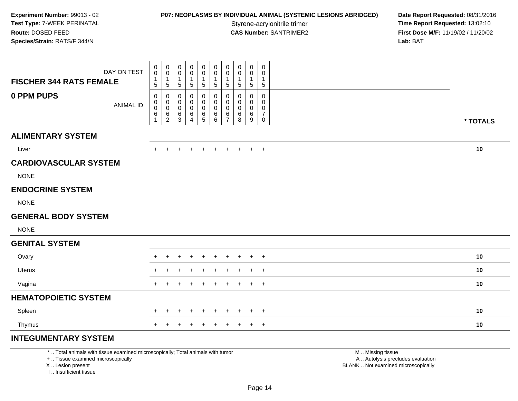#### **P07: NEOPLASMS BY INDIVIDUAL ANIMAL (SYSTEMIC LESIONS ABRIDGED) Date Report Requested: 08/31/2016<br>Styrene-acrylonitrile trimer <b>Time Report Requested: 13:02:10**

**Time Report Requested: 13:02:10 CAS Number:** SANTRIMER2 **First Dose M/F:** 11/19/02 / 11/20/02 **Lab:** BAT

| <b>FISCHER 344 RATS FEMALE</b> | DAY ON TEST      | $\pmb{0}$<br>$\pmb{0}$<br>1 | $\boldsymbol{0}$<br>$\pmb{0}$<br>$\mathbf{1}$ | 0<br>0<br>$\mathbf{1}$ | 0<br>0<br>1 | $\pmb{0}$<br>$\mathbf 0$<br>1 | $\pmb{0}$<br>$\mathbf 0$<br>1 | $\pmb{0}$<br>$\pmb{0}$<br>$\mathbf{1}$ | $\mathbf 0$<br>$\mathbf 0$<br>-1 | $\boldsymbol{0}$<br>0<br>1 | 0<br>0<br>1         |          |
|--------------------------------|------------------|-----------------------------|-----------------------------------------------|------------------------|-------------|-------------------------------|-------------------------------|----------------------------------------|----------------------------------|----------------------------|---------------------|----------|
|                                |                  | 5                           | $\sqrt{5}$                                    | 5                      | $\sqrt{5}$  | 5                             | 5                             | 5                                      | $\sqrt{5}$                       | $\sqrt{5}$                 | 5                   |          |
| 0 PPM PUPS                     | <b>ANIMAL ID</b> | 0<br>0                      | 0<br>$\boldsymbol{0}$                         | 0<br>0                 | 0<br>0      | 0<br>0                        | 0<br>0                        | 0<br>0                                 | $\Omega$<br>0                    | $\mathbf 0$<br>$\mathbf 0$ | 0<br>0              |          |
|                                |                  | 0<br>6                      | $\boldsymbol{0}$<br>$\,6\,$                   | 0<br>$\,6$             | 0<br>6      | $\mathbf 0$<br>$\,6$          | 0<br>$\,6\,$                  | 0<br>6                                 | 0<br>$\,6$                       | 0<br>6                     | 0<br>$\overline{7}$ |          |
|                                |                  |                             | $\overline{2}$                                | 3                      | 4           | 5                             | 6                             | $\overline{7}$                         | 8                                | 9                          | 0                   | * TOTALS |
| <b>ALIMENTARY SYSTEM</b>       |                  |                             |                                               |                        |             |                               |                               |                                        |                                  |                            |                     |          |
| Liver                          |                  | $+$                         | $+$                                           | $\ddot{}$              | $\pm$       | $^{+}$                        | $+$                           | $+$                                    | $+$                              |                            | $+$ $+$             | 10       |
| <b>CARDIOVASCULAR SYSTEM</b>   |                  |                             |                                               |                        |             |                               |                               |                                        |                                  |                            |                     |          |
| <b>NONE</b>                    |                  |                             |                                               |                        |             |                               |                               |                                        |                                  |                            |                     |          |
| <b>ENDOCRINE SYSTEM</b>        |                  |                             |                                               |                        |             |                               |                               |                                        |                                  |                            |                     |          |
| <b>NONE</b>                    |                  |                             |                                               |                        |             |                               |                               |                                        |                                  |                            |                     |          |
| <b>GENERAL BODY SYSTEM</b>     |                  |                             |                                               |                        |             |                               |                               |                                        |                                  |                            |                     |          |
| <b>NONE</b>                    |                  |                             |                                               |                        |             |                               |                               |                                        |                                  |                            |                     |          |
| <b>GENITAL SYSTEM</b>          |                  |                             |                                               |                        |             |                               |                               |                                        |                                  |                            |                     |          |
| Ovary                          |                  | $+$                         | $\pm$                                         | $\pm$                  | $\pm$       | $\overline{+}$                | $\ddot{}$                     | $\pm$                                  | $\ddot{}$                        | $+$                        | $+$                 | 10       |
| Uterus                         |                  |                             |                                               |                        |             |                               |                               |                                        |                                  |                            | $+$                 | 10       |
| Vagina                         |                  | $+$                         | $\pm$                                         |                        |             | $\div$                        | $\ddot{}$                     | $\pm$                                  | $\pm$                            | $\ddot{}$                  | $+$                 | 10       |
| <b>HEMATOPOIETIC SYSTEM</b>    |                  |                             |                                               |                        |             |                               |                               |                                        |                                  |                            |                     |          |
| Spleen                         |                  |                             |                                               |                        |             | $\pm$                         | $\div$                        | $\div$                                 |                                  | $\div$                     | $+$                 | 10       |
| Thymus                         |                  | $+$                         | $\pm$                                         | +                      | $\ddot{}$   | $\overline{+}$                | $+$                           | $+$                                    | $+$                              |                            | $+$ $+$             | 10       |
| <b>INTEGUMENTARY SYSTEM</b>    |                  |                             |                                               |                        |             |                               |                               |                                        |                                  |                            |                     |          |

\* .. Total animals with tissue examined microscopically; Total animals with tumor

+ .. Tissue examined microscopically

X .. Lesion present

I .. Insufficient tissue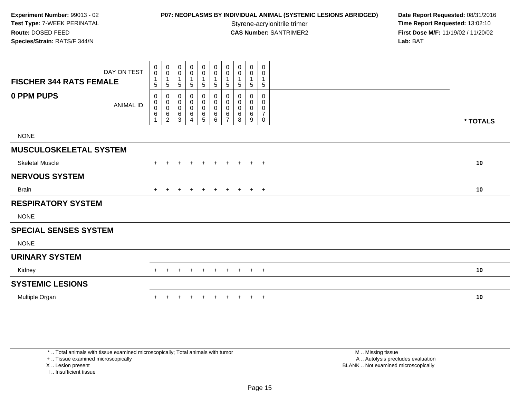## **P07: NEOPLASMS BY INDIVIDUAL ANIMAL (SYSTEMIC LESIONS ABRIDGED) Date Report Requested: 08/31/2016<br>Styrene-acrylonitrile trimer <b>Time Report Requested: 13:02:10**

**Time Report Requested: 13:02:10 CAS Number:** SANTRIMER2 **First Dose M/F:** 11/19/02 / 11/20/02 **Lab:** BAT

| DAY ON TEST<br><b>FISCHER 344 RATS FEMALE</b> | $\pmb{0}$<br>$\pmb{0}$<br>$\mathbf{1}$<br>5           | 0<br>$\mathsf{O}\xspace$<br>$\mathbf{1}$<br>$\sqrt{5}$  | 0<br>0<br>$\mathbf{1}$<br>5 | 0<br>0<br>$\sqrt{5}$  | 0<br>$\pmb{0}$<br>$\sqrt{5}$                | $\pmb{0}$<br>$\mathsf{O}\xspace$<br>$\mathbf{1}$<br>$\sqrt{5}$ | 0<br>$\pmb{0}$<br>$\mathbf 5$                      | $\mathbf 0$<br>$\pmb{0}$<br>$\mathbf{1}$<br>$\sqrt{5}$ | $\mathbf 0$<br>0<br>$\mathbf{1}$<br>$\sqrt{5}$ | 0<br>0<br>1<br>$\,$ 5 $\,$         |          |  |
|-----------------------------------------------|-------------------------------------------------------|---------------------------------------------------------|-----------------------------|-----------------------|---------------------------------------------|----------------------------------------------------------------|----------------------------------------------------|--------------------------------------------------------|------------------------------------------------|------------------------------------|----------|--|
| 0 PPM PUPS<br><b>ANIMAL ID</b>                | 0<br>$\pmb{0}$<br>0<br>$6\phantom{a}$<br>$\mathbf{1}$ | 0<br>$\pmb{0}$<br>$\overline{0}$<br>6<br>$\overline{2}$ | 0<br>0<br>0<br>6<br>3       | 0<br>0<br>0<br>6<br>4 | 0<br>0<br>$\pmb{0}$<br>6<br>$5\phantom{.0}$ | 0<br>$\boldsymbol{0}$<br>$\pmb{0}$<br>$\,6$<br>6               | 0<br>$\pmb{0}$<br>$\pmb{0}$<br>6<br>$\overline{7}$ | 0<br>0<br>0<br>6<br>8                                  | 0<br>0<br>0<br>6<br>9                          | 0<br>0<br>0<br>$\overline{7}$<br>0 | * TOTALS |  |
| <b>NONE</b>                                   |                                                       |                                                         |                             |                       |                                             |                                                                |                                                    |                                                        |                                                |                                    |          |  |
| <b>MUSCULOSKELETAL SYSTEM</b>                 |                                                       |                                                         |                             |                       |                                             |                                                                |                                                    |                                                        |                                                |                                    |          |  |
| <b>Skeletal Muscle</b>                        | $+$                                                   | $\ddot{}$                                               | +                           | $\ddot{}$             | $\ddot{}$                                   | $+$                                                            | $+$                                                | $+$                                                    |                                                | $+$ $+$                            | 10       |  |
| <b>NERVOUS SYSTEM</b>                         |                                                       |                                                         |                             |                       |                                             |                                                                |                                                    |                                                        |                                                |                                    |          |  |
| <b>Brain</b>                                  | $+$                                                   |                                                         |                             | $\ddot{}$             | $\pm$                                       | $+$                                                            | $+$                                                | $+$                                                    | $+$                                            | $+$                                | 10       |  |
| <b>RESPIRATORY SYSTEM</b>                     |                                                       |                                                         |                             |                       |                                             |                                                                |                                                    |                                                        |                                                |                                    |          |  |
| <b>NONE</b>                                   |                                                       |                                                         |                             |                       |                                             |                                                                |                                                    |                                                        |                                                |                                    |          |  |
| <b>SPECIAL SENSES SYSTEM</b>                  |                                                       |                                                         |                             |                       |                                             |                                                                |                                                    |                                                        |                                                |                                    |          |  |
| <b>NONE</b>                                   |                                                       |                                                         |                             |                       |                                             |                                                                |                                                    |                                                        |                                                |                                    |          |  |
| <b>URINARY SYSTEM</b>                         |                                                       |                                                         |                             |                       |                                             |                                                                |                                                    |                                                        |                                                |                                    |          |  |
| Kidney                                        |                                                       |                                                         |                             |                       |                                             |                                                                | $\pm$                                              |                                                        | $\pm$                                          | $+$                                | 10       |  |
| <b>SYSTEMIC LESIONS</b>                       |                                                       |                                                         |                             |                       |                                             |                                                                |                                                    |                                                        |                                                |                                    |          |  |
| Multiple Organ                                |                                                       |                                                         |                             |                       |                                             |                                                                |                                                    |                                                        | $\ddot{}$                                      | $+$                                | 10       |  |

\* .. Total animals with tissue examined microscopically; Total animals with tumor

+ .. Tissue examined microscopically

X .. Lesion present

I .. Insufficient tissue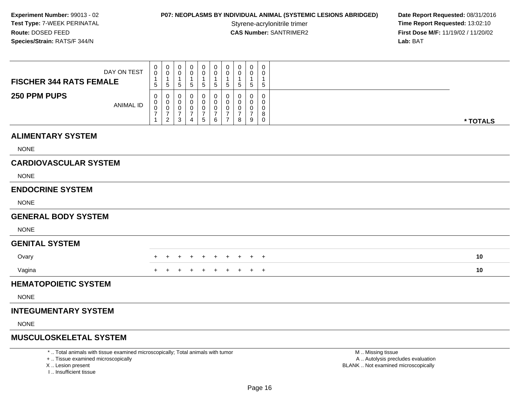I .. Insufficient tissue

# **P07: NEOPLASMS BY INDIVIDUAL ANIMAL (SYSTEMIC LESIONS ABRIDGED) Date Report Requested: 08/31/2016<br>Styrene-acrylonitrile trimer <b>Time Report Requested: 13:02:10**

Styrene-acrylonitrile trimer<br> **CAS Number:** SANTRIMER2<br> **CAS Number:** SANTRIMER2<br> **Time Report Requested:** 13:02:10 **First Dose M/F:** 11/19/02 / 11/20/02<br>Lab: BAT **Lab:** BAT

| DAY ON TEST<br><b>FISCHER 344 RATS FEMALE</b>                                                                                              | 0<br>$\mathbf 0$<br>$\sqrt{5}$                    | 0<br>0<br>$\mathbf{1}$<br>$\sqrt{5}$                                  | 0<br>0<br>$\mathbf 1$<br>$\sqrt{5}$         | 0<br>0<br>1<br>5                                       | 0<br>0<br>1<br>5                                   | 0<br>0<br>1<br>$5\phantom{.0}$               | 0<br>0<br>$\mathbf{1}$<br>5                               | 0<br>0<br>$\mathbf{1}$<br>5               | 0<br>0<br>$\mathbf{1}$<br>$\sqrt{5}$                     | $\mathbf 0$<br>0<br>$\mathbf{1}$<br>5            |                                                                                               |          |
|--------------------------------------------------------------------------------------------------------------------------------------------|---------------------------------------------------|-----------------------------------------------------------------------|---------------------------------------------|--------------------------------------------------------|----------------------------------------------------|----------------------------------------------|-----------------------------------------------------------|-------------------------------------------|----------------------------------------------------------|--------------------------------------------------|-----------------------------------------------------------------------------------------------|----------|
| 250 PPM PUPS<br><b>ANIMAL ID</b>                                                                                                           | $\mathbf 0$<br>$\mathbf 0$<br>0<br>$\overline{7}$ | 0<br>$\mathbf 0$<br>$\mathbf 0$<br>$\boldsymbol{7}$<br>$\overline{2}$ | 0<br>$\Omega$<br>0<br>$\boldsymbol{7}$<br>3 | 0<br>$\Omega$<br>0<br>$\overline{7}$<br>$\overline{4}$ | $\Omega$<br>$\Omega$<br>0<br>$\boldsymbol{7}$<br>5 | 0<br>$\mathbf 0$<br>0<br>$\overline{7}$<br>6 | 0<br>$\mathbf 0$<br>0<br>$\overline{7}$<br>$\overline{7}$ | 0<br>$\Omega$<br>0<br>$\overline{7}$<br>8 | $\Omega$<br>0<br>0<br>$\overline{7}$<br>$\boldsymbol{9}$ | $\mathbf 0$<br>$\Omega$<br>0<br>8<br>$\mathbf 0$ |                                                                                               | * TOTALS |
| <b>ALIMENTARY SYSTEM</b>                                                                                                                   |                                                   |                                                                       |                                             |                                                        |                                                    |                                              |                                                           |                                           |                                                          |                                                  |                                                                                               |          |
| <b>NONE</b>                                                                                                                                |                                                   |                                                                       |                                             |                                                        |                                                    |                                              |                                                           |                                           |                                                          |                                                  |                                                                                               |          |
| <b>CARDIOVASCULAR SYSTEM</b>                                                                                                               |                                                   |                                                                       |                                             |                                                        |                                                    |                                              |                                                           |                                           |                                                          |                                                  |                                                                                               |          |
| <b>NONE</b>                                                                                                                                |                                                   |                                                                       |                                             |                                                        |                                                    |                                              |                                                           |                                           |                                                          |                                                  |                                                                                               |          |
| <b>ENDOCRINE SYSTEM</b>                                                                                                                    |                                                   |                                                                       |                                             |                                                        |                                                    |                                              |                                                           |                                           |                                                          |                                                  |                                                                                               |          |
| <b>NONE</b>                                                                                                                                |                                                   |                                                                       |                                             |                                                        |                                                    |                                              |                                                           |                                           |                                                          |                                                  |                                                                                               |          |
| <b>GENERAL BODY SYSTEM</b>                                                                                                                 |                                                   |                                                                       |                                             |                                                        |                                                    |                                              |                                                           |                                           |                                                          |                                                  |                                                                                               |          |
| <b>NONE</b>                                                                                                                                |                                                   |                                                                       |                                             |                                                        |                                                    |                                              |                                                           |                                           |                                                          |                                                  |                                                                                               |          |
| <b>GENITAL SYSTEM</b>                                                                                                                      |                                                   |                                                                       |                                             |                                                        |                                                    |                                              |                                                           |                                           |                                                          |                                                  |                                                                                               |          |
| Ovary                                                                                                                                      |                                                   |                                                                       |                                             |                                                        |                                                    | $\pm$                                        |                                                           | $\ddot{}$                                 | $+$                                                      | $\overline{+}$                                   |                                                                                               | 10       |
| Vagina                                                                                                                                     |                                                   |                                                                       |                                             |                                                        |                                                    |                                              |                                                           |                                           | $+$                                                      | $^{+}$                                           |                                                                                               | 10       |
| <b>HEMATOPOIETIC SYSTEM</b>                                                                                                                |                                                   |                                                                       |                                             |                                                        |                                                    |                                              |                                                           |                                           |                                                          |                                                  |                                                                                               |          |
| <b>NONE</b>                                                                                                                                |                                                   |                                                                       |                                             |                                                        |                                                    |                                              |                                                           |                                           |                                                          |                                                  |                                                                                               |          |
| <b>INTEGUMENTARY SYSTEM</b>                                                                                                                |                                                   |                                                                       |                                             |                                                        |                                                    |                                              |                                                           |                                           |                                                          |                                                  |                                                                                               |          |
| <b>NONE</b>                                                                                                                                |                                                   |                                                                       |                                             |                                                        |                                                    |                                              |                                                           |                                           |                                                          |                                                  |                                                                                               |          |
| <b>MUSCULOSKELETAL SYSTEM</b>                                                                                                              |                                                   |                                                                       |                                             |                                                        |                                                    |                                              |                                                           |                                           |                                                          |                                                  |                                                                                               |          |
| *  Total animals with tissue examined microscopically; Total animals with tumor<br>+  Tissue examined microscopically<br>X  Lesion present |                                                   |                                                                       |                                             |                                                        |                                                    |                                              |                                                           |                                           |                                                          |                                                  | M  Missing tissue<br>A  Autolysis precludes evaluation<br>BLANK  Not examined microscopically |          |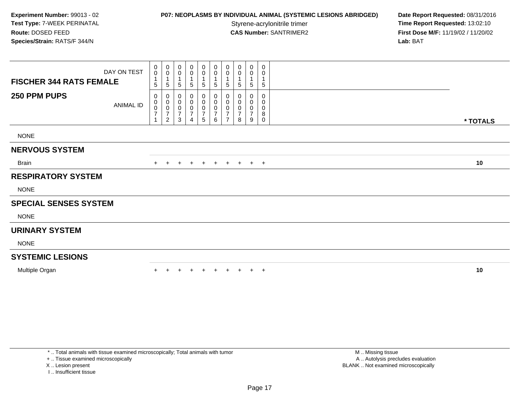# **P07: NEOPLASMS BY INDIVIDUAL ANIMAL (SYSTEMIC LESIONS ABRIDGED) Date Report Requested: 08/31/2016<br>Styrene-acrylonitrile trimer <b>Time Report Requested: 13:02:10**

**Time Report Requested: 13:02:10 CAS Number:** SANTRIMER2 **First Dose M/F:** 11/19/02 / 11/20/02 **Lab:** BAT

| <b>FISCHER 344 RATS FEMALE</b> | DAY ON TEST | 0<br>$\pmb{0}$<br>1<br>5                                  | 0<br>0<br>$\mathbf{1}$<br>5                     | 0<br>0<br>$\sqrt{5}$         | 0<br>$\pmb{0}$<br>$\,$ 5 $\,$ | $\overline{0}$<br>$\mathbf 0$<br>1<br>$\sqrt{5}$                       | 0<br>$\boldsymbol{0}$<br>$\mathbf{1}$<br>$\sqrt{5}$   | 0<br>0<br>5                                     | 0<br>5                   | 0<br>0<br>$\mathbf{1}$<br>5        | 0<br>0<br>5                     |          |
|--------------------------------|-------------|-----------------------------------------------------------|-------------------------------------------------|------------------------------|-------------------------------|------------------------------------------------------------------------|-------------------------------------------------------|-------------------------------------------------|--------------------------|------------------------------------|---------------------------------|----------|
| 250 PPM PUPS                   | ANIMAL ID   | 0<br>$\,0\,$<br>$\,0\,$<br>$\overline{7}$<br>$\mathbf{1}$ | 0<br>0<br>0<br>$\overline{7}$<br>$\overline{2}$ | 0<br>0<br>$\frac{0}{7}$<br>3 | $\overline{4}$                | 0<br>$\overline{0}$<br>$\begin{smallmatrix}0\\7\end{smallmatrix}$<br>5 | $\boldsymbol{0}$<br>$\mathbf 0$<br>$\frac{0}{7}$<br>6 | 0<br>0<br>0<br>$\overline{7}$<br>$\overline{7}$ | 0<br>$\overline{7}$<br>8 | 0<br>0<br>0<br>$\overline{7}$<br>9 | 0<br>0<br>0<br>8<br>$\mathbf 0$ | * TOTALS |
| <b>NONE</b>                    |             |                                                           |                                                 |                              |                               |                                                                        |                                                       |                                                 |                          |                                    |                                 |          |
| <b>NERVOUS SYSTEM</b>          |             |                                                           |                                                 |                              |                               |                                                                        |                                                       |                                                 |                          |                                    |                                 |          |
| <b>Brain</b>                   |             | $+$                                                       | $\ddot{}$                                       | $+$                          | $\ddot{}$                     | $+$                                                                    | $+$                                                   | $+$                                             | $+$                      | $+$ $+$                            |                                 | 10       |
| <b>RESPIRATORY SYSTEM</b>      |             |                                                           |                                                 |                              |                               |                                                                        |                                                       |                                                 |                          |                                    |                                 |          |
| <b>NONE</b>                    |             |                                                           |                                                 |                              |                               |                                                                        |                                                       |                                                 |                          |                                    |                                 |          |
| <b>SPECIAL SENSES SYSTEM</b>   |             |                                                           |                                                 |                              |                               |                                                                        |                                                       |                                                 |                          |                                    |                                 |          |
| <b>NONE</b>                    |             |                                                           |                                                 |                              |                               |                                                                        |                                                       |                                                 |                          |                                    |                                 |          |
| <b>URINARY SYSTEM</b>          |             |                                                           |                                                 |                              |                               |                                                                        |                                                       |                                                 |                          |                                    |                                 |          |
| <b>NONE</b>                    |             |                                                           |                                                 |                              |                               |                                                                        |                                                       |                                                 |                          |                                    |                                 |          |
| <b>SYSTEMIC LESIONS</b>        |             |                                                           |                                                 |                              |                               |                                                                        |                                                       |                                                 |                          |                                    |                                 |          |
| Multiple Organ                 |             |                                                           |                                                 |                              | $\pm$                         | $\ddot{}$                                                              | $+$                                                   | $+$                                             |                          | $+$                                | $+$                             | 10       |
|                                |             |                                                           |                                                 |                              |                               |                                                                        |                                                       |                                                 |                          |                                    |                                 |          |

\* .. Total animals with tissue examined microscopically; Total animals with tumor

+ .. Tissue examined microscopically

X .. Lesion present

I .. Insufficient tissue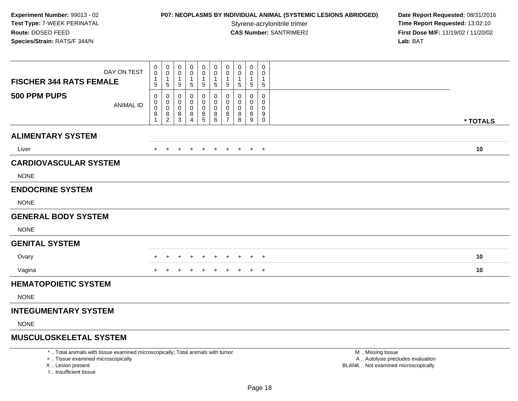# **P07: NEOPLASMS BY INDIVIDUAL ANIMAL (SYSTEMIC LESIONS ABRIDGED) Date Report Requested: 08/31/2016<br>Styrene-acrylonitrile trimer <b>Time Report Requested: 13:02:10**

Styrene-acrylonitrile trimer<br> **CAS Number:** SANTRIMER2<br> **CAS Number:** SANTRIMER2<br> **Time Report Requested:** 13:02:10 **First Dose M/F:** 11/19/02 / 11/20/02 Lab: BAT **Lab:** BAT

| <b>FISCHER 344 RATS FEMALE</b>     | DAY ON TEST                                                                     | 0<br>$\mathbf 0$<br>$\mathbf{1}$<br>5                    | $\mathbf 0$<br>0<br>$\mathbf{1}$<br>$\sqrt{5}$ | 0<br>0<br>-1<br>5     | 0<br>0<br>-1<br>5                         | $\mathbf 0$<br>0<br>1<br>$\sqrt{5}$     | $\mathbf 0$<br>0<br>$\overline{1}$<br>$\sqrt{5}$     | $\mathbf 0$<br>0<br>$\overline{\mathbf{1}}$<br>$\sqrt{5}$ | $\mathbf 0$<br>0<br>$\mathbf{1}$<br>5        | $\mathbf 0$<br>0<br>1<br>$\sqrt{5}$       | 0<br>0<br>1<br>5                        |                                                        |          |
|------------------------------------|---------------------------------------------------------------------------------|----------------------------------------------------------|------------------------------------------------|-----------------------|-------------------------------------------|-----------------------------------------|------------------------------------------------------|-----------------------------------------------------------|----------------------------------------------|-------------------------------------------|-----------------------------------------|--------------------------------------------------------|----------|
| 500 PPM PUPS                       | <b>ANIMAL ID</b>                                                                | 0<br>$\mathbf 0$<br>$\pmb{0}$<br>$\,8\,$<br>$\mathbf{1}$ | 0<br>0<br>$\mathbf 0$<br>$^8_2$                | 0<br>0<br>0<br>$^8_3$ | $\Omega$<br>0<br>0<br>8<br>$\overline{4}$ | $\mathbf 0$<br>0<br>$\pmb{0}$<br>$^8_5$ | $\mathbf{0}$<br>$\mathbf 0$<br>$\mathbf 0$<br>$^8_6$ | 0<br>$\mathbf 0$<br>$\mathbf 0$<br>$\frac{8}{7}$          | 0<br>$\Omega$<br>$\mathbf 0$<br>8<br>$\,8\,$ | $\mathbf 0$<br>0<br>$\mathbf 0$<br>8<br>9 | 0<br>0<br>$\mathbf 0$<br>9<br>$\pmb{0}$ |                                                        | * TOTALS |
| <b>ALIMENTARY SYSTEM</b>           |                                                                                 |                                                          |                                                |                       |                                           |                                         |                                                      |                                                           |                                              |                                           |                                         |                                                        |          |
| Liver                              |                                                                                 | +                                                        |                                                | $\ddot{}$             | $\pm$                                     | $\overline{+}$                          | $+$                                                  | $+$                                                       | $+$                                          |                                           | $+$ $+$                                 |                                                        | 10       |
| <b>CARDIOVASCULAR SYSTEM</b>       |                                                                                 |                                                          |                                                |                       |                                           |                                         |                                                      |                                                           |                                              |                                           |                                         |                                                        |          |
| <b>NONE</b>                        |                                                                                 |                                                          |                                                |                       |                                           |                                         |                                                      |                                                           |                                              |                                           |                                         |                                                        |          |
| <b>ENDOCRINE SYSTEM</b>            |                                                                                 |                                                          |                                                |                       |                                           |                                         |                                                      |                                                           |                                              |                                           |                                         |                                                        |          |
| <b>NONE</b>                        |                                                                                 |                                                          |                                                |                       |                                           |                                         |                                                      |                                                           |                                              |                                           |                                         |                                                        |          |
| <b>GENERAL BODY SYSTEM</b>         |                                                                                 |                                                          |                                                |                       |                                           |                                         |                                                      |                                                           |                                              |                                           |                                         |                                                        |          |
| <b>NONE</b>                        |                                                                                 |                                                          |                                                |                       |                                           |                                         |                                                      |                                                           |                                              |                                           |                                         |                                                        |          |
| <b>GENITAL SYSTEM</b>              |                                                                                 |                                                          |                                                |                       |                                           |                                         |                                                      |                                                           |                                              |                                           |                                         |                                                        |          |
| Ovary                              |                                                                                 |                                                          |                                                | $\pm$                 | $\pm$                                     | $\overline{+}$                          | $\ddot{}$                                            | $\ddot{}$                                                 | $\ddot{}$                                    | $+$                                       | $+$                                     |                                                        | 10       |
| Vagina                             |                                                                                 |                                                          |                                                |                       |                                           |                                         |                                                      |                                                           |                                              |                                           | $+$                                     |                                                        | 10       |
| <b>HEMATOPOIETIC SYSTEM</b>        |                                                                                 |                                                          |                                                |                       |                                           |                                         |                                                      |                                                           |                                              |                                           |                                         |                                                        |          |
| <b>NONE</b>                        |                                                                                 |                                                          |                                                |                       |                                           |                                         |                                                      |                                                           |                                              |                                           |                                         |                                                        |          |
| <b>INTEGUMENTARY SYSTEM</b>        |                                                                                 |                                                          |                                                |                       |                                           |                                         |                                                      |                                                           |                                              |                                           |                                         |                                                        |          |
| <b>NONE</b>                        |                                                                                 |                                                          |                                                |                       |                                           |                                         |                                                      |                                                           |                                              |                                           |                                         |                                                        |          |
| <b>MUSCULOSKELETAL SYSTEM</b>      |                                                                                 |                                                          |                                                |                       |                                           |                                         |                                                      |                                                           |                                              |                                           |                                         |                                                        |          |
| +  Tissue examined microscopically | *  Total animals with tissue examined microscopically; Total animals with tumor |                                                          |                                                |                       |                                           |                                         |                                                      |                                                           |                                              |                                           |                                         | M  Missing tissue<br>A  Autolysis precludes evaluation |          |

I .. Insufficient tissue

Lesion present BLANK .. Not examined microscopically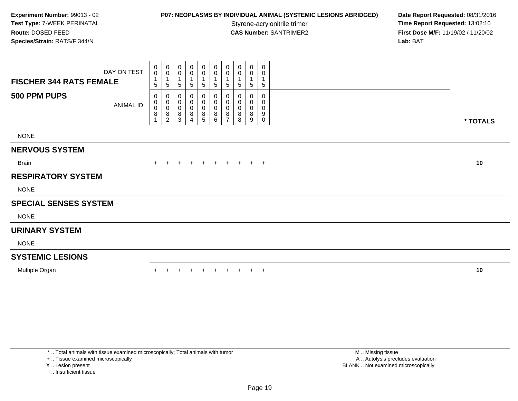# **P07: NEOPLASMS BY INDIVIDUAL ANIMAL (SYSTEMIC LESIONS ABRIDGED) Date Report Requested: 08/31/2016<br>Styrene-acrylonitrile trimer <b>Time Report Requested: 13:02:10**

**Time Report Requested: 13:02:10 CAS Number:** SANTRIMER2 **First Dose M/F:** 11/19/02 / 11/20/02 **Lab:** BAT

| DAY ON TEST<br><b>FISCHER 344 RATS FEMALE</b> | 0<br>$\mathsf{O}\xspace$<br>1<br>5       | $\boldsymbol{0}$<br>$\mathbf 0$<br>5                    | 0<br>0<br>$\mathbf{1}$<br>$\sqrt{5}$                 | $_0^0$<br>$5\phantom{.0}$                               | 0<br>0<br>5           | 0<br>$\pmb{0}$<br>-1<br>$\sqrt{5}$                        | 0<br>0<br>5                        | 0<br>0<br>5      | 0<br>0<br>1<br>5      | 0<br>0<br>5           |          |
|-----------------------------------------------|------------------------------------------|---------------------------------------------------------|------------------------------------------------------|---------------------------------------------------------|-----------------------|-----------------------------------------------------------|------------------------------------|------------------|-----------------------|-----------------------|----------|
| 500 PPM PUPS<br><b>ANIMAL ID</b>              | 0<br>0<br>0<br>$\bf 8$<br>$\overline{ }$ | 0<br>$\pmb{0}$<br>$\pmb{0}$<br>$\, 8$<br>$\overline{c}$ | 0<br>$\pmb{0}$<br>$\pmb{0}$<br>$\bf 8$<br>$\sqrt{3}$ | $\begin{smallmatrix}0\0\0\0\end{smallmatrix}$<br>8<br>4 | 0<br>0<br>0<br>8<br>5 | $\pmb{0}$<br>$\pmb{0}$<br>$\pmb{0}$<br>$\,8\,$<br>$\,6\,$ | 0<br>0<br>0<br>8<br>$\overline{ }$ | 0<br>0<br>8<br>8 | 0<br>0<br>0<br>8<br>9 | 0<br>0<br>0<br>9<br>0 | * TOTALS |
| <b>NONE</b>                                   |                                          |                                                         |                                                      |                                                         |                       |                                                           |                                    |                  |                       |                       |          |
| <b>NERVOUS SYSTEM</b>                         |                                          |                                                         |                                                      |                                                         |                       |                                                           |                                    |                  |                       |                       |          |
| <b>Brain</b>                                  | $+$                                      | $+$                                                     | $+$                                                  | $+$                                                     | $+$                   | $+$                                                       |                                    | + + + +          |                       |                       | 10       |
| <b>RESPIRATORY SYSTEM</b>                     |                                          |                                                         |                                                      |                                                         |                       |                                                           |                                    |                  |                       |                       |          |
| <b>NONE</b>                                   |                                          |                                                         |                                                      |                                                         |                       |                                                           |                                    |                  |                       |                       |          |
| <b>SPECIAL SENSES SYSTEM</b>                  |                                          |                                                         |                                                      |                                                         |                       |                                                           |                                    |                  |                       |                       |          |
| <b>NONE</b>                                   |                                          |                                                         |                                                      |                                                         |                       |                                                           |                                    |                  |                       |                       |          |
| <b>URINARY SYSTEM</b>                         |                                          |                                                         |                                                      |                                                         |                       |                                                           |                                    |                  |                       |                       |          |
| <b>NONE</b>                                   |                                          |                                                         |                                                      |                                                         |                       |                                                           |                                    |                  |                       |                       |          |
| <b>SYSTEMIC LESIONS</b>                       |                                          |                                                         |                                                      |                                                         |                       |                                                           |                                    |                  |                       |                       |          |
| Multiple Organ                                |                                          |                                                         |                                                      | $+$                                                     | $+$                   | $+$                                                       | $+$                                | $+$              | $+$                   | $+$                   | 10       |

\* .. Total animals with tissue examined microscopically; Total animals with tumor

+ .. Tissue examined microscopically

X .. Lesion present

I .. Insufficient tissue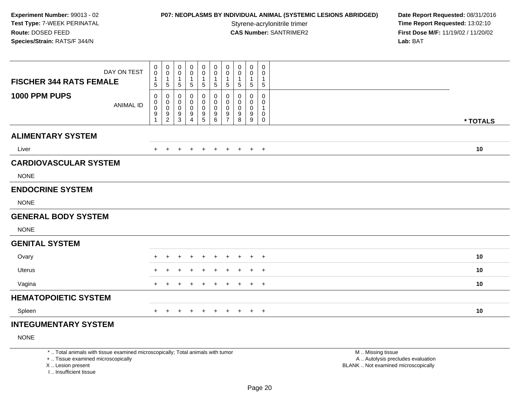## **P07: NEOPLASMS BY INDIVIDUAL ANIMAL (SYSTEMIC LESIONS ABRIDGED) Date Report Requested: 08/31/2016<br>Styrene-acrylonitrile trimer <b>Time Report Requested: 13:02:10**

**Time Report Requested: 13:02:10 CAS Number:** SANTRIMER2 **First Dose M/F:** 11/19/02 / 11/20/02 **Lab:** BAT

| DAY ON TEST                       | 0<br>$\pmb{0}$<br>$\overline{1}$ | 0<br>$\pmb{0}$<br>$\mathbf{1}$ | 0<br>0<br>1    | 0<br>0<br>1    | 0<br>$\pmb{0}$<br>$\mathbf{1}$ | $\mathbf 0$<br>0<br>$\mathbf{1}$ | 0<br>0<br>$\overline{1}$     | 0<br>0<br>$\mathbf{1}$ | 0<br>0<br>$\mathbf{1}$ | 0<br>0<br>1 |          |
|-----------------------------------|----------------------------------|--------------------------------|----------------|----------------|--------------------------------|----------------------------------|------------------------------|------------------------|------------------------|-------------|----------|
| <b>FISCHER 344 RATS FEMALE</b>    | 5                                | $\overline{5}$                 | 5              | 5              | $\sqrt{5}$                     | $\sqrt{5}$                       | $\overline{5}$               | $\sqrt{5}$             | 5                      | $\mathbf 5$ |          |
| 1000 PPM PUPS<br><b>ANIMAL ID</b> | 0<br>0                           | $\mathbf 0$<br>$\mathbf 0$     | 0<br>0         | 0<br>0         | 0<br>0                         | 0<br>$\mathbf 0$                 | 0<br>$\mathbf 0$             | 0<br>0                 | 0<br>0                 | 0<br>0      |          |
|                                   | $\mathsf{O}\xspace$<br>9         | $\mathbf 0$<br>$\frac{9}{2}$   | $\pmb{0}$<br>9 | 0<br>9         | $\pmb{0}$<br>$\frac{9}{5}$     | $\mathbf 0$<br>$^9$ 6            | $\mathbf 0$<br>$\frac{9}{7}$ | 0<br>9                 | 0<br>9                 | 1<br>0      |          |
|                                   |                                  |                                | $\mathfrak{S}$ | $\overline{4}$ |                                |                                  |                              | $\,8\,$                | 9                      | 0           | * TOTALS |
| <b>ALIMENTARY SYSTEM</b>          |                                  |                                |                |                |                                |                                  |                              |                        |                        |             |          |
| Liver                             | $+$                              | $+$                            | $\ddot{}$      | $+$            | $+$                            | $+$                              | $+$                          | $+$                    |                        | $+$ $+$     | 10       |
| <b>CARDIOVASCULAR SYSTEM</b>      |                                  |                                |                |                |                                |                                  |                              |                        |                        |             |          |
| <b>NONE</b>                       |                                  |                                |                |                |                                |                                  |                              |                        |                        |             |          |
| <b>ENDOCRINE SYSTEM</b>           |                                  |                                |                |                |                                |                                  |                              |                        |                        |             |          |
| <b>NONE</b>                       |                                  |                                |                |                |                                |                                  |                              |                        |                        |             |          |
| <b>GENERAL BODY SYSTEM</b>        |                                  |                                |                |                |                                |                                  |                              |                        |                        |             |          |
| <b>NONE</b>                       |                                  |                                |                |                |                                |                                  |                              |                        |                        |             |          |
| <b>GENITAL SYSTEM</b>             |                                  |                                |                |                |                                |                                  |                              |                        |                        |             |          |
| Ovary                             |                                  |                                |                |                |                                | ÷                                |                              | $\pm$                  |                        | $\pm$       | 10       |
| <b>Uterus</b>                     | $\pm$                            |                                |                |                |                                |                                  |                              |                        | ÷                      | $+$         | 10       |
| Vagina                            | $+$                              |                                |                |                |                                | ÷                                |                              |                        | $\pm$                  | $^{+}$      | 10       |
| <b>HEMATOPOIETIC SYSTEM</b>       |                                  |                                |                |                |                                |                                  |                              |                        |                        |             |          |
| Spleen                            | $\pm$                            | $\div$                         | $\pm$          | $\pm$          | $\ddot{}$                      | $+$                              | $+$                          | $+$                    |                        | $+$ $+$     | 10       |
| <b>INTEGUMENTARY SYSTEM</b>       |                                  |                                |                |                |                                |                                  |                              |                        |                        |             |          |

NONE

\* .. Total animals with tissue examined microscopically; Total animals with tumor

+ .. Tissue examined microscopically

X .. Lesion present

I .. Insufficient tissue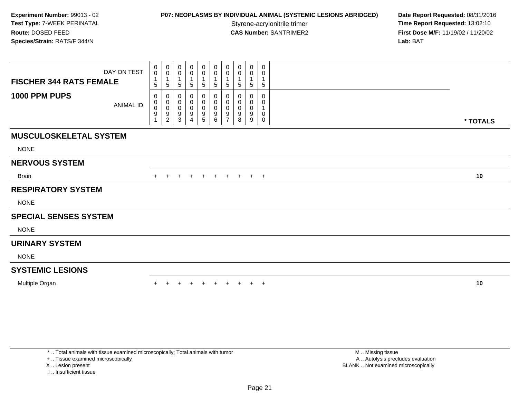# **P07: NEOPLASMS BY INDIVIDUAL ANIMAL (SYSTEMIC LESIONS ABRIDGED) Date Report Requested: 08/31/2016<br>Styrene-acrylonitrile trimer <b>Time Report Requested: 13:02:10**

**Time Report Requested: 13:02:10 CAS Number:** SANTRIMER2 **First Dose M/F:** 11/19/02 / 11/20/02 **Lab:** BAT

| $\mathbf 0$<br>5                          | $\begin{smallmatrix} 0\\0 \end{smallmatrix}$<br>$\overline{1}$<br>$\overline{5}$ | 0<br>0<br>5           | 0<br>0<br>1<br>5      | 0<br>0<br>5           | 0<br>$\mathbf 0$<br>$\overline{1}$<br>$\overline{5}$ | 0<br>0<br>5                                          | 0<br>0<br>5      | 0<br>$\pmb{0}$<br>$\sqrt{5}$            | 0<br>0<br>$\mathbf{1}$<br>$\overline{5}$                    |             |          |
|-------------------------------------------|----------------------------------------------------------------------------------|-----------------------|-----------------------|-----------------------|------------------------------------------------------|------------------------------------------------------|------------------|-----------------------------------------|-------------------------------------------------------------|-------------|----------|
| 0<br>$\mathbf 0$<br>0<br>$\boldsymbol{9}$ | 0<br>$_{\rm 0}^{\rm 0}$<br>$\overline{9}$<br>$\sqrt{2}$                          | 0<br>0<br>0<br>9<br>3 | 0<br>0<br>0<br>9<br>Δ | 0<br>0<br>0<br>9<br>5 | 0<br>$\pmb{0}$<br>$\pmb{0}$<br>$\boldsymbol{9}$<br>6 | 0<br>$\pmb{0}$<br>$\mathbf 0$<br>9<br>$\overline{ }$ | 0<br>0<br>9<br>8 | $\mathbf 0$<br>0<br>$\pmb{0}$<br>9<br>9 | 0<br>0<br>$\overline{1}$<br>$\mathbf 0$<br>$\boldsymbol{0}$ |             | * TOTALS |
|                                           |                                                                                  |                       |                       |                       |                                                      |                                                      |                  |                                         |                                                             |             |          |
|                                           |                                                                                  |                       |                       |                       |                                                      |                                                      |                  |                                         |                                                             |             |          |
|                                           |                                                                                  |                       |                       |                       |                                                      |                                                      |                  |                                         |                                                             |             |          |
| $+$                                       |                                                                                  | +                     | $\ddot{}$             | $+$                   | $+$                                                  |                                                      |                  |                                         |                                                             |             | 10       |
|                                           |                                                                                  |                       |                       |                       |                                                      |                                                      |                  |                                         |                                                             |             |          |
|                                           |                                                                                  |                       |                       |                       |                                                      |                                                      |                  |                                         |                                                             |             |          |
|                                           |                                                                                  |                       |                       |                       |                                                      |                                                      |                  |                                         |                                                             |             |          |
|                                           |                                                                                  |                       |                       |                       |                                                      |                                                      |                  |                                         |                                                             |             |          |
|                                           |                                                                                  |                       |                       |                       |                                                      |                                                      |                  |                                         |                                                             |             |          |
|                                           |                                                                                  |                       |                       |                       |                                                      |                                                      |                  |                                         |                                                             |             |          |
|                                           |                                                                                  |                       |                       |                       |                                                      |                                                      |                  |                                         |                                                             |             |          |
|                                           |                                                                                  |                       |                       |                       |                                                      |                                                      |                  | $+$                                     | $+$                                                         |             | 10       |
|                                           |                                                                                  | $\overline{0}$        |                       |                       |                                                      |                                                      |                  | $+$                                     |                                                             | $+$ $+$ $+$ |          |

\* .. Total animals with tissue examined microscopically; Total animals with tumor

+ .. Tissue examined microscopically

X .. Lesion present

I .. Insufficient tissue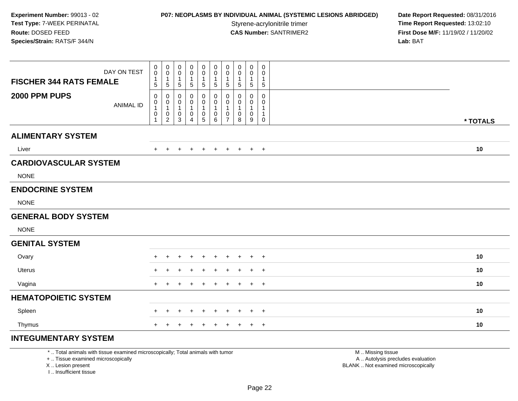#### **P07: NEOPLASMS BY INDIVIDUAL ANIMAL (SYSTEMIC LESIONS ABRIDGED) Date Report Requested: 08/31/2016<br>Styrene-acrylonitrile trimer <b>Time Report Requested: 13:02:10**

**Time Report Requested: 13:02:10 CAS Number:** SANTRIMER2 **First Dose M/F:** 11/19/02 / 11/20/02 **Lab:** BAT

| DAY ON TEST<br><b>FISCHER 344 RATS FEMALE</b> | 0<br>$\mathsf{O}\xspace$                          | $\mathbf 0$<br>$\pmb{0}$<br>$\mathbf{1}$                | 0<br>0<br>-1                              | 0<br>0<br>1            | 0<br>$\mathbf 0$<br>1                       | 0<br>0<br>$\mathbf{1}$                     | $\pmb{0}$<br>0<br>$\mathbf{1}$        | 0<br>0                           | $\boldsymbol{0}$<br>0<br>1                                    | 0<br>$\mathbf 0$<br>1          |          |
|-----------------------------------------------|---------------------------------------------------|---------------------------------------------------------|-------------------------------------------|------------------------|---------------------------------------------|--------------------------------------------|---------------------------------------|----------------------------------|---------------------------------------------------------------|--------------------------------|----------|
| 2000 PPM PUPS<br><b>ANIMAL ID</b>             | $\sqrt{5}$<br>0<br>0<br>$\mathbf{1}$<br>$\pmb{0}$ | 5<br>0<br>$\boldsymbol{0}$<br>$\mathbf{1}$<br>$\pmb{0}$ | $\sqrt{5}$<br>0<br>0<br>$\mathbf{1}$<br>0 | 5<br>0<br>0<br>1<br>0  | $5\phantom{.0}$<br>0<br>0<br>1<br>$\pmb{0}$ | 5<br>0<br>$\mathbf 0$<br>$\mathbf{1}$<br>0 | 5<br>$\pmb{0}$<br>0<br>1<br>$\pmb{0}$ | $\sqrt{5}$<br>$\Omega$<br>0<br>0 | $\sqrt{5}$<br>$\mathbf 0$<br>$\mathbf 0$<br>-1<br>$\mathbf 0$ | $\sqrt{5}$<br>0<br>0<br>1<br>1 |          |
|                                               |                                                   | $\overline{2}$                                          | 3                                         | $\boldsymbol{\Lambda}$ | 5                                           | 6                                          | $\overline{7}$                        | 8                                | 9                                                             | 0                              | * TOTALS |
| <b>ALIMENTARY SYSTEM</b>                      |                                                   |                                                         |                                           |                        |                                             |                                            |                                       |                                  |                                                               |                                |          |
| Liver                                         | $+$                                               | $+$                                                     | $\div$                                    | $\pm$                  | $^{+}$                                      | $+$                                        | $+$                                   | $+$                              |                                                               | $+$ $+$                        | 10       |
| <b>CARDIOVASCULAR SYSTEM</b>                  |                                                   |                                                         |                                           |                        |                                             |                                            |                                       |                                  |                                                               |                                |          |
| <b>NONE</b>                                   |                                                   |                                                         |                                           |                        |                                             |                                            |                                       |                                  |                                                               |                                |          |
| <b>ENDOCRINE SYSTEM</b>                       |                                                   |                                                         |                                           |                        |                                             |                                            |                                       |                                  |                                                               |                                |          |
| <b>NONE</b>                                   |                                                   |                                                         |                                           |                        |                                             |                                            |                                       |                                  |                                                               |                                |          |
| <b>GENERAL BODY SYSTEM</b>                    |                                                   |                                                         |                                           |                        |                                             |                                            |                                       |                                  |                                                               |                                |          |
| <b>NONE</b>                                   |                                                   |                                                         |                                           |                        |                                             |                                            |                                       |                                  |                                                               |                                |          |
| <b>GENITAL SYSTEM</b>                         |                                                   |                                                         |                                           |                        |                                             |                                            |                                       |                                  |                                                               |                                |          |
| Ovary                                         | $+$                                               |                                                         |                                           |                        | $\div$                                      | $\ddot{}$                                  | $\ddot{}$                             | $\pm$                            | $+$                                                           | $+$                            | 10       |
| <b>Uterus</b>                                 |                                                   |                                                         |                                           |                        |                                             |                                            |                                       |                                  |                                                               | $+$                            | 10       |
| Vagina                                        | $+$                                               |                                                         |                                           |                        |                                             | $\pm$                                      | $\ddot{}$                             | $\pm$                            | $\ddot{}$                                                     | $+$                            | 10       |
| <b>HEMATOPOIETIC SYSTEM</b>                   |                                                   |                                                         |                                           |                        |                                             |                                            |                                       |                                  |                                                               |                                |          |
| Spleen                                        |                                                   |                                                         |                                           |                        | $\pm$                                       |                                            | $\div$                                |                                  | ÷                                                             | $+$                            | 10       |
| Thymus                                        | $+$                                               | $\pm$                                                   | +                                         | $\ddot{}$              | $\overline{+}$                              | $\ddot{}$                                  | $+$                                   | $+$                              |                                                               | $+$ $+$                        | 10       |
| <b>INTEGUMENTARY SYSTEM</b>                   |                                                   |                                                         |                                           |                        |                                             |                                            |                                       |                                  |                                                               |                                |          |

\* .. Total animals with tissue examined microscopically; Total animals with tumor

+ .. Tissue examined microscopically

X .. Lesion present

I .. Insufficient tissue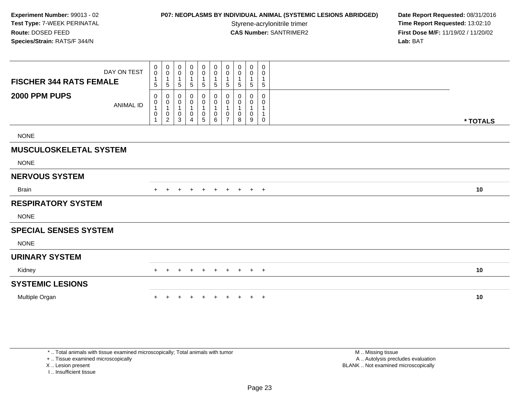## **P07: NEOPLASMS BY INDIVIDUAL ANIMAL (SYSTEMIC LESIONS ABRIDGED) Date Report Requested: 08/31/2016<br>Styrene-acrylonitrile trimer <b>Time Report Requested: 13:02:10**

**Time Report Requested: 13:02:10 CAS Number:** SANTRIMER2 **First Dose M/F:** 11/19/02 / 11/20/02 **Lab:** BAT

|                                | DAY ON TEST      | $\pmb{0}$<br>$\pmb{0}$                                      | 0<br>$\mathbf 0$                                   | 0<br>0                | $\pmb{0}$<br>$\pmb{0}$                | $\mathbf 0$<br>$\mathbf 0$                             | $\pmb{0}$<br>$\pmb{0}$                                 | 0<br>0                        | $\pmb{0}$<br>0                | $\mathbf 0$<br>0      | 0<br>0                 |          |
|--------------------------------|------------------|-------------------------------------------------------------|----------------------------------------------------|-----------------------|---------------------------------------|--------------------------------------------------------|--------------------------------------------------------|-------------------------------|-------------------------------|-----------------------|------------------------|----------|
| <b>FISCHER 344 RATS FEMALE</b> |                  | $\mathbf 1$<br>5                                            | 5                                                  | 5                     | 5                                     | $\mathbf 1$<br>$\sqrt{5}$                              | $\mathbf 1$<br>$\sqrt{5}$                              | 1<br>5                        | 1<br>5                        | $\mathbf{1}$<br>5     | 1<br>5                 |          |
| 2000 PPM PUPS                  | <b>ANIMAL ID</b> | 0<br>$\pmb{0}$<br>$\mathbf{1}$<br>$\pmb{0}$<br>$\mathbf{1}$ | 0<br>0<br>$\mathbf 1$<br>$\,0\,$<br>$\overline{c}$ | 0<br>0<br>1<br>0<br>3 | 0<br>0<br>$\pmb{0}$<br>$\overline{4}$ | 0<br>0<br>$\mathbf 1$<br>$\mathbf 0$<br>$\overline{5}$ | 0<br>$\pmb{0}$<br>$\mathbf{1}$<br>$\pmb{0}$<br>$\,6\,$ | 0<br>0<br>0<br>$\overline{7}$ | 0<br>0<br>1<br>$\pmb{0}$<br>8 | 0<br>0<br>1<br>0<br>9 | 0<br>0<br>$\mathsf{O}$ | * TOTALS |
| <b>NONE</b>                    |                  |                                                             |                                                    |                       |                                       |                                                        |                                                        |                               |                               |                       |                        |          |
| <b>MUSCULOSKELETAL SYSTEM</b>  |                  |                                                             |                                                    |                       |                                       |                                                        |                                                        |                               |                               |                       |                        |          |
| <b>NONE</b>                    |                  |                                                             |                                                    |                       |                                       |                                                        |                                                        |                               |                               |                       |                        |          |
| <b>NERVOUS SYSTEM</b>          |                  |                                                             |                                                    |                       |                                       |                                                        |                                                        |                               |                               |                       |                        |          |
|                                |                  |                                                             |                                                    |                       |                                       |                                                        |                                                        |                               |                               |                       |                        |          |
| <b>Brain</b>                   |                  | $+$                                                         | $\pm$                                              | $\pm$                 | $\overline{+}$                        | $\ddot{}$                                              | $\ddot{}$                                              | $\pm$                         | $\pm$                         | $+$                   | $+$                    | 10       |
| <b>RESPIRATORY SYSTEM</b>      |                  |                                                             |                                                    |                       |                                       |                                                        |                                                        |                               |                               |                       |                        |          |
| <b>NONE</b>                    |                  |                                                             |                                                    |                       |                                       |                                                        |                                                        |                               |                               |                       |                        |          |
| <b>SPECIAL SENSES SYSTEM</b>   |                  |                                                             |                                                    |                       |                                       |                                                        |                                                        |                               |                               |                       |                        |          |
| <b>NONE</b>                    |                  |                                                             |                                                    |                       |                                       |                                                        |                                                        |                               |                               |                       |                        |          |
| <b>URINARY SYSTEM</b>          |                  |                                                             |                                                    |                       |                                       |                                                        |                                                        |                               |                               |                       |                        |          |
| Kidney                         |                  |                                                             |                                                    |                       |                                       |                                                        |                                                        |                               |                               | $+$                   | $+$                    | 10       |
| <b>SYSTEMIC LESIONS</b>        |                  |                                                             |                                                    |                       |                                       |                                                        |                                                        |                               |                               |                       |                        |          |

\* .. Total animals with tissue examined microscopically; Total animals with tumor

+ .. Tissue examined microscopically

X .. Lesion present

I .. Insufficient tissue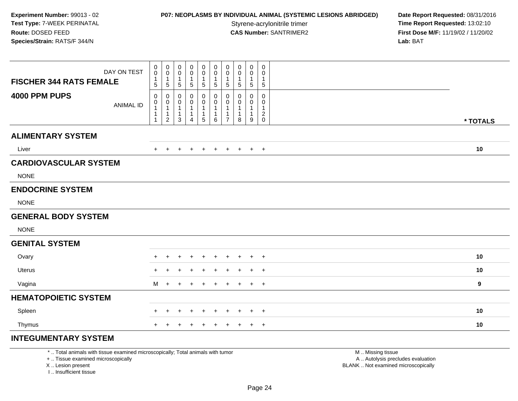## **P07: NEOPLASMS BY INDIVIDUAL ANIMAL (SYSTEMIC LESIONS ABRIDGED) Date Report Requested: 08/31/2016<br>Styrene-acrylonitrile trimer <b>Time Report Requested: 13:02:10**

**Time Report Requested: 13:02:10 CAS Number:** SANTRIMER2 **First Dose M/F:** 11/19/02 / 11/20/02 **Lab:** BAT

| <b>FISCHER 344 RATS FEMALE</b> | DAY ON TEST      | 0<br>0<br>1<br>$\sqrt{5}$           | $\mathbf 0$<br>$\mathbf 0$<br>$\mathbf{1}$<br>$\sqrt{5}$        | 0<br>0<br>$\mathbf{1}$<br>5     | 0<br>0<br>$\mathbf{1}$<br>5      | 0<br>$\pmb{0}$<br>1<br>$5\phantom{.0}$ | 0<br>$\mathbf 0$<br>$\mathbf{1}$<br>$5\phantom{.0}$ | $\pmb{0}$<br>$\pmb{0}$<br>$\mathbf{1}$<br>$\sqrt{5}$ | 0<br>0<br>$\overline{1}$<br>$\overline{5}$             | $\mathbf 0$<br>0<br>$\mathbf 1$<br>$\sqrt{5}$ | 0<br>0<br>$\mathbf{1}$<br>$\mathbf 5$          |          |
|--------------------------------|------------------|-------------------------------------|-----------------------------------------------------------------|---------------------------------|----------------------------------|----------------------------------------|-----------------------------------------------------|------------------------------------------------------|--------------------------------------------------------|-----------------------------------------------|------------------------------------------------|----------|
| 4000 PPM PUPS                  | <b>ANIMAL ID</b> | 0<br>$\pmb{0}$<br>$\mathbf{1}$<br>1 | 0<br>$\pmb{0}$<br>$\mathbf{1}$<br>$\mathbf 1$<br>$\overline{2}$ | 0<br>0<br>$\mathbf 1$<br>1<br>3 | 0<br>0<br>1<br>$\mathbf{1}$<br>4 | 0<br>0<br>1<br>1<br>5                  | 0<br>0<br>1<br>$\mathbf{1}$<br>6                    | 0<br>0<br>-1<br>$\overline{ }$                       | $\mathbf 0$<br>0<br>$\mathbf 1$<br>$\overline{1}$<br>8 | $\mathbf 0$<br>0<br>-1<br>$\mathbf 1$<br>9    | 0<br>0<br>1<br>$\boldsymbol{2}$<br>$\mathbf 0$ | * TOTALS |
| <b>ALIMENTARY SYSTEM</b>       |                  |                                     |                                                                 |                                 |                                  |                                        |                                                     |                                                      |                                                        |                                               |                                                |          |
| Liver                          |                  | $+$                                 | $\pm$                                                           | +                               |                                  | $\ddot{}$                              | $\ddot{}$                                           | $\ddot{}$                                            | $+$                                                    |                                               | $+$ $+$                                        | 10       |
| <b>CARDIOVASCULAR SYSTEM</b>   |                  |                                     |                                                                 |                                 |                                  |                                        |                                                     |                                                      |                                                        |                                               |                                                |          |
| <b>NONE</b>                    |                  |                                     |                                                                 |                                 |                                  |                                        |                                                     |                                                      |                                                        |                                               |                                                |          |
| <b>ENDOCRINE SYSTEM</b>        |                  |                                     |                                                                 |                                 |                                  |                                        |                                                     |                                                      |                                                        |                                               |                                                |          |
| <b>NONE</b>                    |                  |                                     |                                                                 |                                 |                                  |                                        |                                                     |                                                      |                                                        |                                               |                                                |          |
| <b>GENERAL BODY SYSTEM</b>     |                  |                                     |                                                                 |                                 |                                  |                                        |                                                     |                                                      |                                                        |                                               |                                                |          |
| <b>NONE</b>                    |                  |                                     |                                                                 |                                 |                                  |                                        |                                                     |                                                      |                                                        |                                               |                                                |          |
| <b>GENITAL SYSTEM</b>          |                  |                                     |                                                                 |                                 |                                  |                                        |                                                     |                                                      |                                                        |                                               |                                                |          |
| Ovary                          |                  |                                     |                                                                 |                                 |                                  |                                        | ÷                                                   | $\ddot{}$                                            | $\pm$                                                  | $\pm$                                         | $+$                                            | 10       |
| <b>Uterus</b>                  |                  |                                     |                                                                 |                                 |                                  |                                        |                                                     |                                                      |                                                        |                                               | $+$                                            | 10       |
| Vagina                         |                  | M                                   | $\ddot{}$                                                       | $\div$                          |                                  | $\div$                                 | $\ddot{}$                                           | $\pm$                                                | $\div$                                                 | $\pm$                                         | $+$                                            | 9        |
| <b>HEMATOPOIETIC SYSTEM</b>    |                  |                                     |                                                                 |                                 |                                  |                                        |                                                     |                                                      |                                                        |                                               |                                                |          |
| Spleen                         |                  | $+$                                 | $\pm$                                                           | +                               | $\ddot{}$                        | $\ddot{}$                              | $\ddot{}$                                           | $\ddot{}$                                            | $\pm$                                                  | $\pm$                                         | $+$                                            | 10       |
| Thymus                         |                  | $+$                                 | $\pm$                                                           | $\pm$                           | $\ddot{}$                        | $\overline{ }$                         | $+$                                                 | $+$                                                  | $+$                                                    |                                               | $+$ $+$                                        | 10       |
| <b>INTEGUMENTARY SYSTEM</b>    |                  |                                     |                                                                 |                                 |                                  |                                        |                                                     |                                                      |                                                        |                                               |                                                |          |

\* .. Total animals with tissue examined microscopically; Total animals with tumor

+ .. Tissue examined microscopically

X .. Lesion present

I .. Insufficient tissue